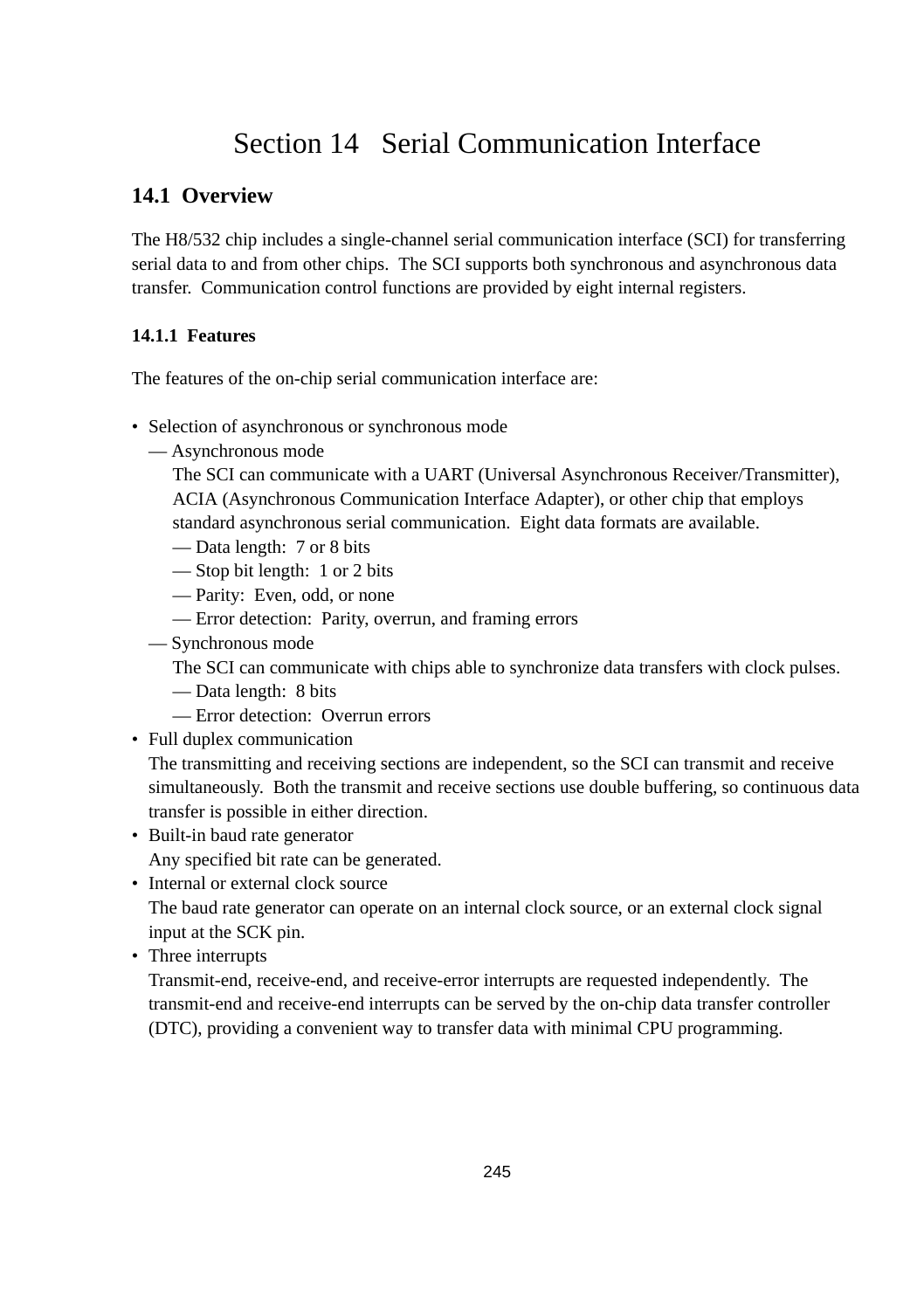# Section 14 Serial Communication Interface

# **14.1 Overview**

The H8/532 chip includes a single-channel serial communication interface (SCI) for transferring serial data to and from other chips. The SCI supports both synchronous and asynchronous data transfer. Communication control functions are provided by eight internal registers.

### **14.1.1 Features**

The features of the on-chip serial communication interface are:

- Selection of asynchronous or synchronous mode
	- Asynchronous mode

The SCI can communicate with a UART (Universal Asynchronous Receiver/Transmitter), ACIA (Asynchronous Communication Interface Adapter), or other chip that employs standard asynchronous serial communication. Eight data formats are available.

— Data length: 7 or 8 bits

— Stop bit length: 1 or 2 bits

- Parity: Even, odd, or none
- Error detection: Parity, overrun, and framing errors
- Synchronous mode

The SCI can communicate with chips able to synchronize data transfers with clock pulses.

- Data length: 8 bits
- Error detection: Overrun errors
- Full duplex communication

The transmitting and receiving sections are independent, so the SCI can transmit and receive simultaneously. Both the transmit and receive sections use double buffering, so continuous data transfer is possible in either direction.

- Built-in baud rate generator Any specified bit rate can be generated.
- Internal or external clock source The baud rate generator can operate on an internal clock source, or an external clock signal input at the SCK pin.
- Three interrupts

Transmit-end, receive-end, and receive-error interrupts are requested independently. The transmit-end and receive-end interrupts can be served by the on-chip data transfer controller (DTC), providing a convenient way to transfer data with minimal CPU programming.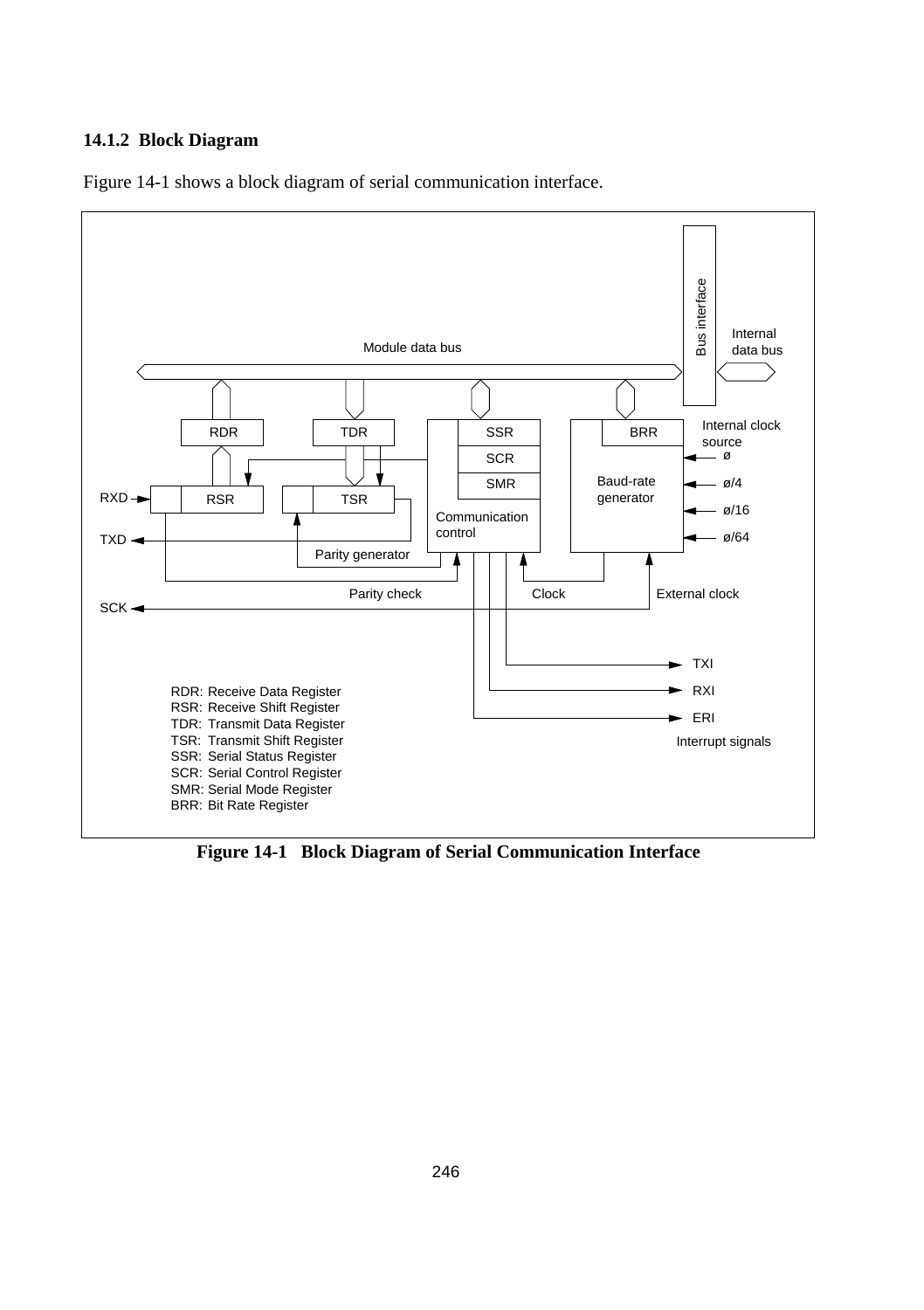#### **14.1.2 Block Diagram**

Figure 14-1 shows a block diagram of serial communication interface.



**Figure 14-1 Block Diagram of Serial Communication Interface**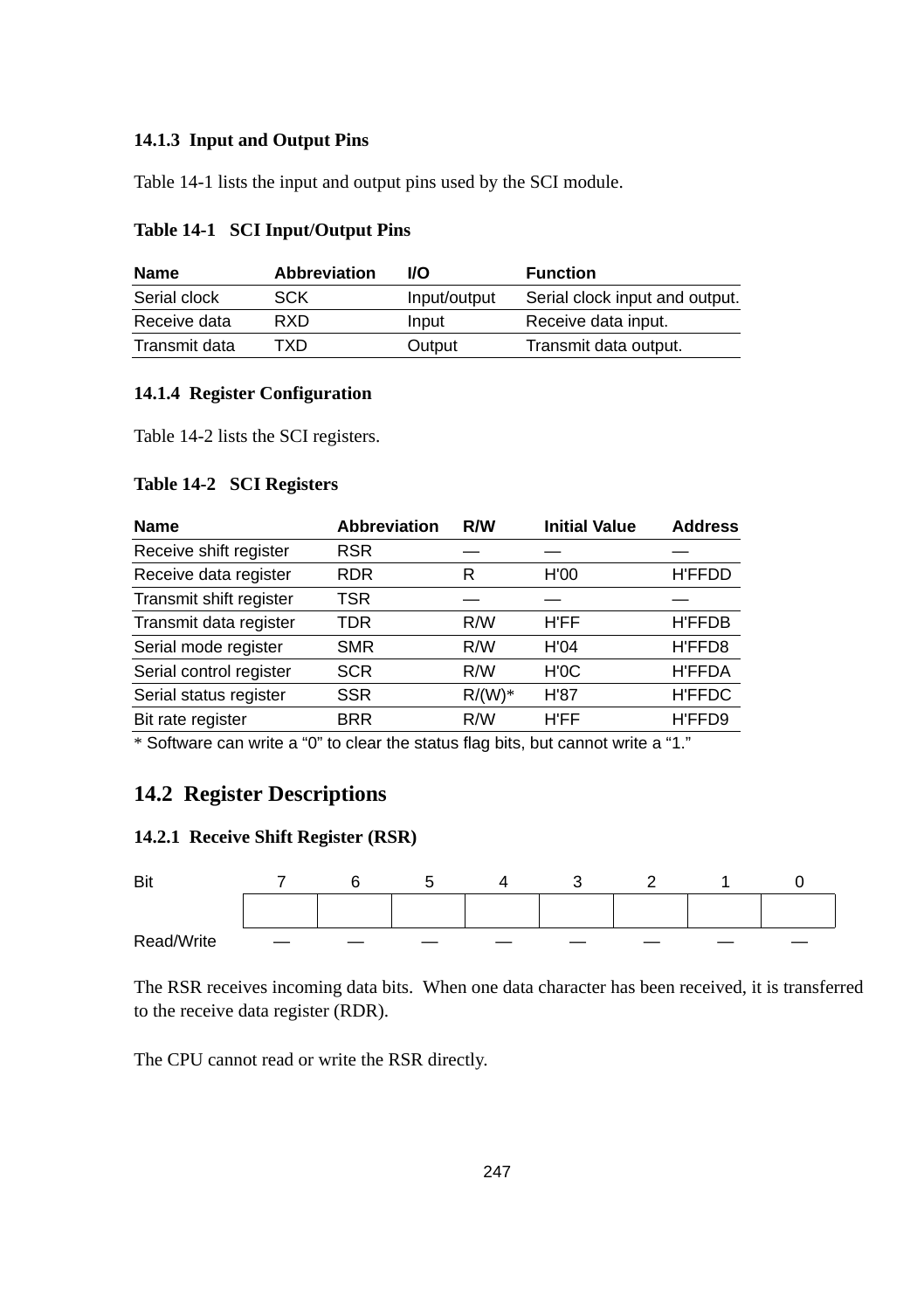#### **14.1.3 Input and Output Pins**

Table 14-1 lists the input and output pins used by the SCI module.

| Name          | <b>Abbreviation</b> | <b>I/O</b>   | <b>Function</b>                |
|---------------|---------------------|--------------|--------------------------------|
| Serial clock  | <b>SCK</b>          | Input/output | Serial clock input and output. |
| Receive data  | <b>RXD</b>          | Input        | Receive data input.            |
| Transmit data | TXD                 | Output       | Transmit data output.          |

#### **Table 14-1 SCI Input/Output Pins**

#### **14.1.4 Register Configuration**

Table 14-2 lists the SCI registers.

#### **Table 14-2 SCI Registers**

| <b>Abbreviation</b> | R/W       | <b>Initial Value</b> | <b>Address</b> |
|---------------------|-----------|----------------------|----------------|
| <b>RSR</b>          |           |                      |                |
| <b>RDR</b>          | R         | H'00                 | <b>H'FFDD</b>  |
| TSR                 |           |                      |                |
| TDR                 | R/W       | H'FF                 | <b>H'FFDB</b>  |
| <b>SMR</b>          | R/W       | H'04                 | H'FFD8         |
| <b>SCR</b>          | R/W       | H'0C                 | <b>H'FFDA</b>  |
| <b>SSR</b>          | $R/(W)^*$ | H'87                 | <b>H'FFDC</b>  |
| <b>BRR</b>          | R/W       | H'FF                 | H'FFD9         |
|                     |           |                      |                |

\* Software can write a "0" to clear the status flag bits, but cannot write a "1."

## **14.2 Register Descriptions**

#### **14.2.1 Receive Shift Register (RSR)**



The RSR receives incoming data bits. When one data character has been received, it is transferred to the receive data register (RDR).

The CPU cannot read or write the RSR directly.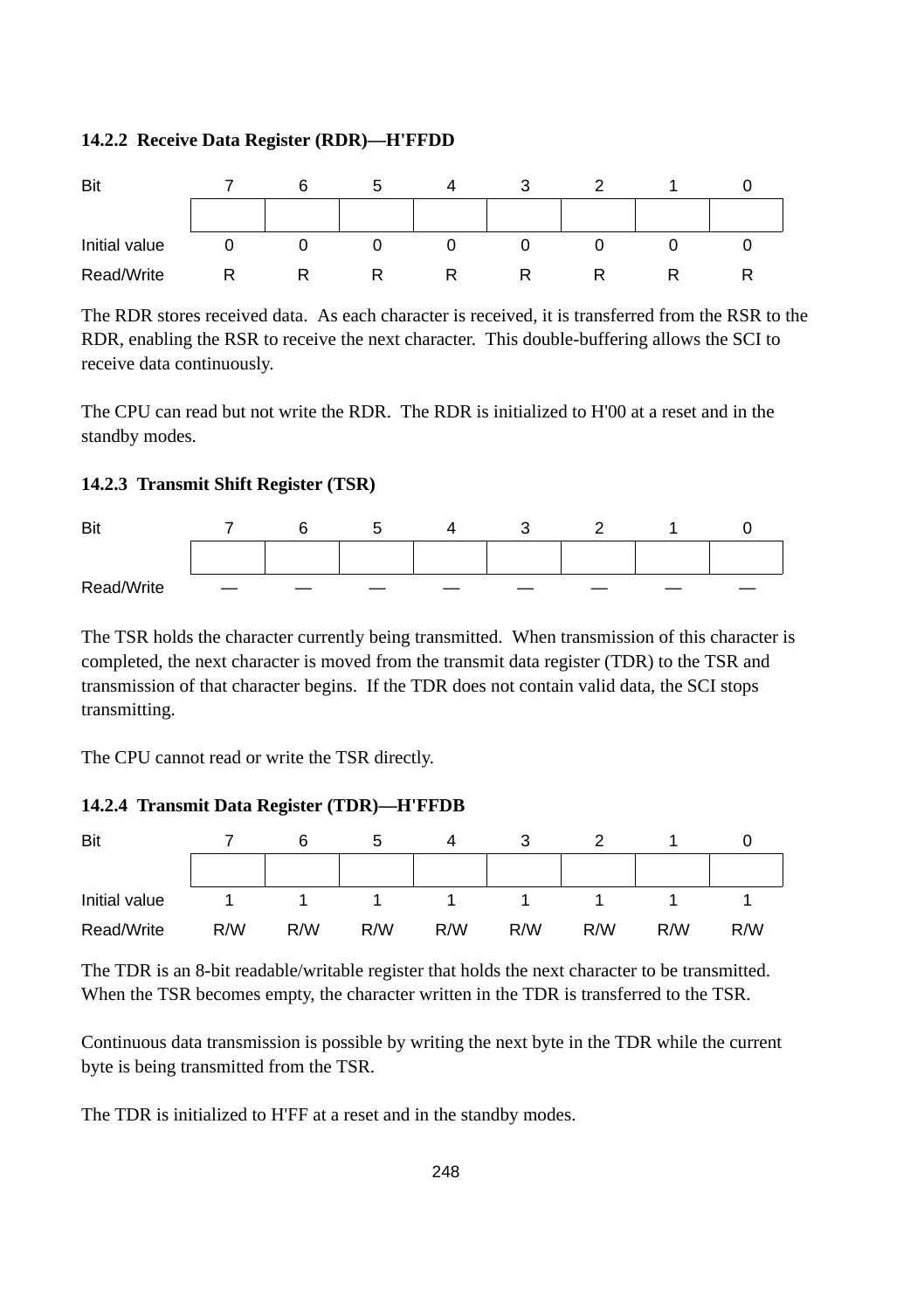#### **14.2.2 Receive Data Register (RDR)—H'FFDD**



The RDR stores received data. As each character is received, it is transferred from the RSR to the RDR, enabling the RSR to receive the next character. This double-buffering allows the SCI to receive data continuously.

The CPU can read but not write the RDR. The RDR is initialized to H'00 at a reset and in the standby modes.

#### **14.2.3 Transmit Shift Register (TSR)**



The TSR holds the character currently being transmitted. When transmission of this character is completed, the next character is moved from the transmit data register (TDR) to the TSR and transmission of that character begins. If the TDR does not contain valid data, the SCI stops transmitting.

The CPU cannot read or write the TSR directly.

#### **14.2.4 Transmit Data Register (TDR)—H'FFDB**



The TDR is an 8-bit readable/writable register that holds the next character to be transmitted. When the TSR becomes empty, the character written in the TDR is transferred to the TSR.

Continuous data transmission is possible by writing the next byte in the TDR while the current byte is being transmitted from the TSR.

The TDR is initialized to H'FF at a reset and in the standby modes.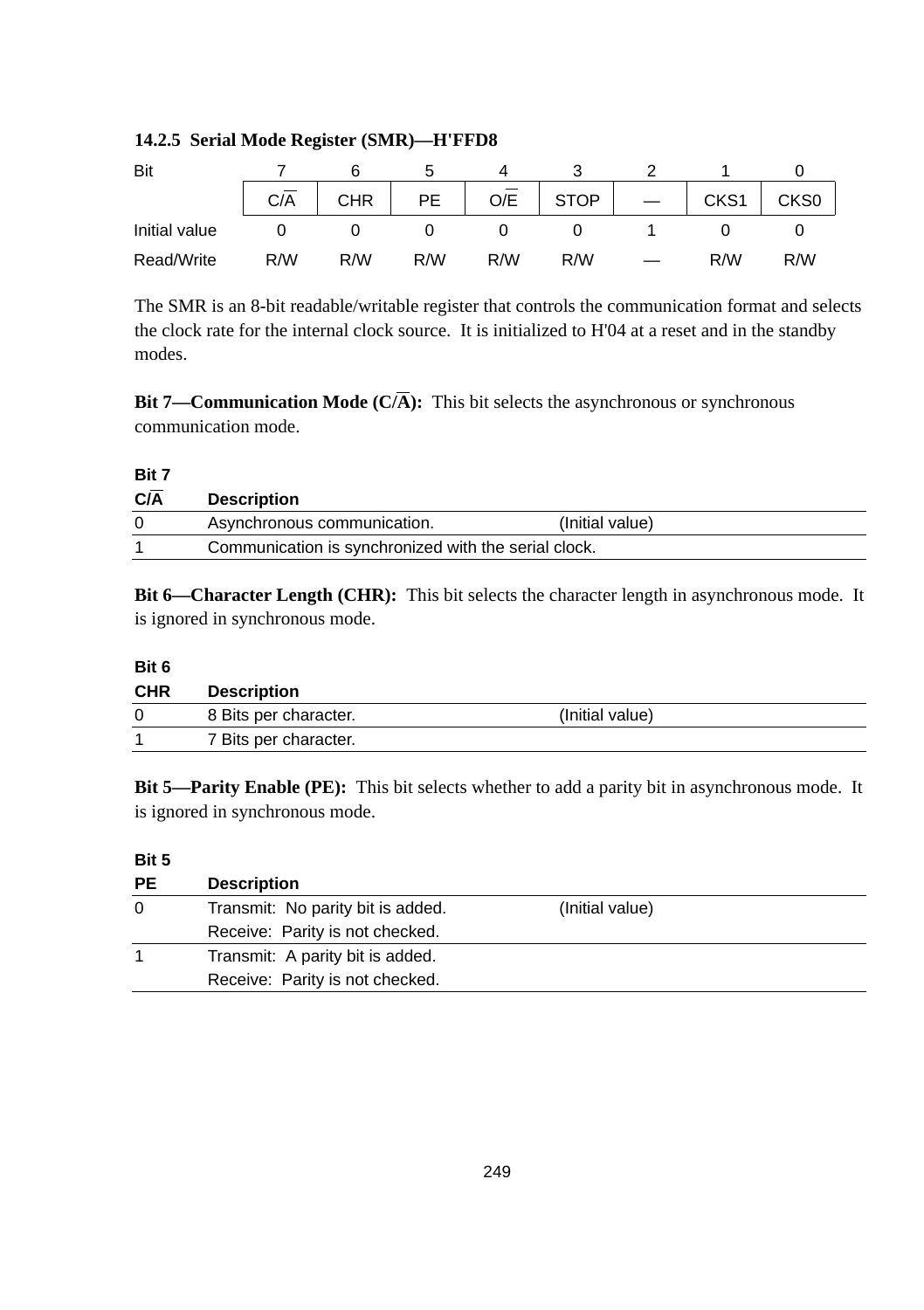| Bit           |     |            |           |     |             |      |                  |
|---------------|-----|------------|-----------|-----|-------------|------|------------------|
|               | C/A | <b>CHR</b> | <b>PE</b> | O/E | <b>STOP</b> | CKS1 | CKS <sub>0</sub> |
| Initial value |     |            |           |     |             |      |                  |
| Read/Write    | R/W | R/W        | R/W       | R/W | R/W         | R/W  | R/W              |

#### **14.2.5 Serial Mode Register (SMR)—H'FFD8**

The SMR is an 8-bit readable/writable register that controls the communication format and selects the clock rate for the internal clock source. It is initialized to H'04 at a reset and in the standby modes.

**Bit 7—Communication Mode**  $(C/\overline{A})$ **:** This bit selects the asynchronous or synchronous communication mode.

#### **Bit 7**

| C/A | <b>Description</b>                                   |                 |
|-----|------------------------------------------------------|-----------------|
|     | Asynchronous communication.                          | (Initial value) |
|     | Communication is synchronized with the serial clock. |                 |

**Bit 6—Character Length (CHR):** This bit selects the character length in asynchronous mode. It is ignored in synchronous mode.

#### **Bit 6**

| <b>CHR</b> | <b>Description</b>    |                 |
|------------|-----------------------|-----------------|
|            | 8 Bits per character. | (Initial value) |
|            | 7 Bits per character. |                 |

**Bit 5—Parity Enable (PE):** This bit selects whether to add a parity bit in asynchronous mode. It is ignored in synchronous mode.

#### **Bit 5**

| <b>PE</b> | <b>Description</b>                |                 |  |
|-----------|-----------------------------------|-----------------|--|
| $\Omega$  | Transmit: No parity bit is added. | (Initial value) |  |
|           | Receive: Parity is not checked.   |                 |  |
|           | Transmit: A parity bit is added.  |                 |  |
|           | Receive: Parity is not checked.   |                 |  |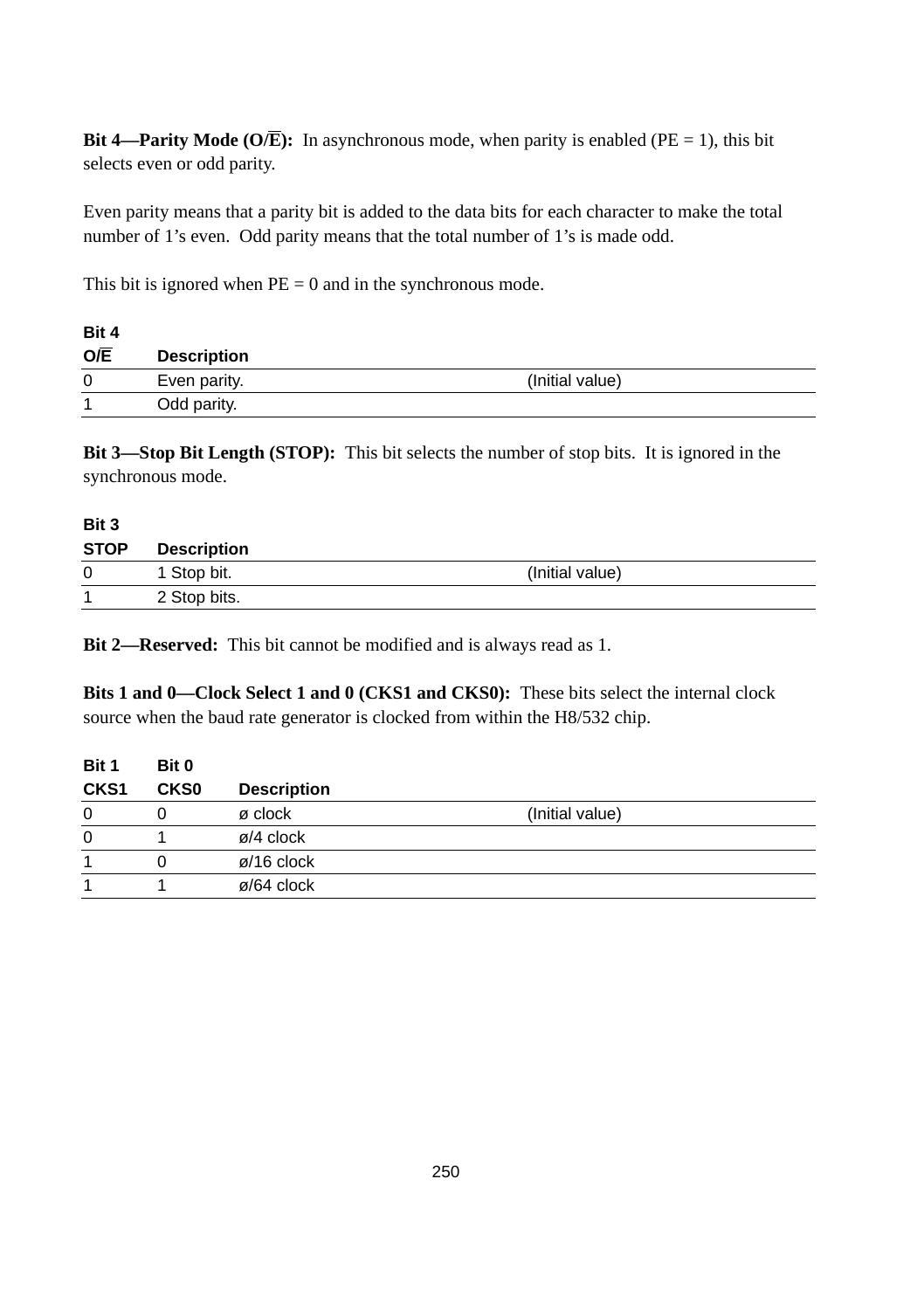**Bit 4—Parity Mode (O/E):** In asynchronous mode, when parity is enabled (PE = 1), this bit selects even or odd parity.

Even parity means that a parity bit is added to the data bits for each character to make the total number of 1's even. Odd parity means that the total number of 1's is made odd.

This bit is ignored when  $PE = 0$  and in the synchronous mode.

| Bit 4            |                    |                 |
|------------------|--------------------|-----------------|
| $O/\overline{E}$ | <b>Description</b> |                 |
| 0                | Even parity.       | (Initial value) |
| 4                | Odd parity.        |                 |

**Bit 3—Stop Bit Length (STOP):** This bit selects the number of stop bits. It is ignored in the synchronous mode.

| Bit 3       |                    |                 |  |
|-------------|--------------------|-----------------|--|
| <b>STOP</b> | <b>Description</b> |                 |  |
| $\Omega$    | 1 Stop bit.        | (Initial value) |  |
| 1           | 2 Stop bits.       |                 |  |

**Bit 2—Reserved:** This bit cannot be modified and is always read as 1.

**Bits 1 and 0—Clock Select 1 and 0 (CKS1 and CKS0):** These bits select the internal clock source when the baud rate generator is clocked from within the H8/532 chip.

| Bit 0            |                         |                 |  |
|------------------|-------------------------|-----------------|--|
| CKS <sub>0</sub> | <b>Description</b>      |                 |  |
|                  | ø clock                 | (Initial value) |  |
|                  | $\varnothing$ /4 clock  |                 |  |
| 0                | $\varnothing$ /16 clock |                 |  |
|                  | $\varnothing$ /64 clock |                 |  |
|                  |                         |                 |  |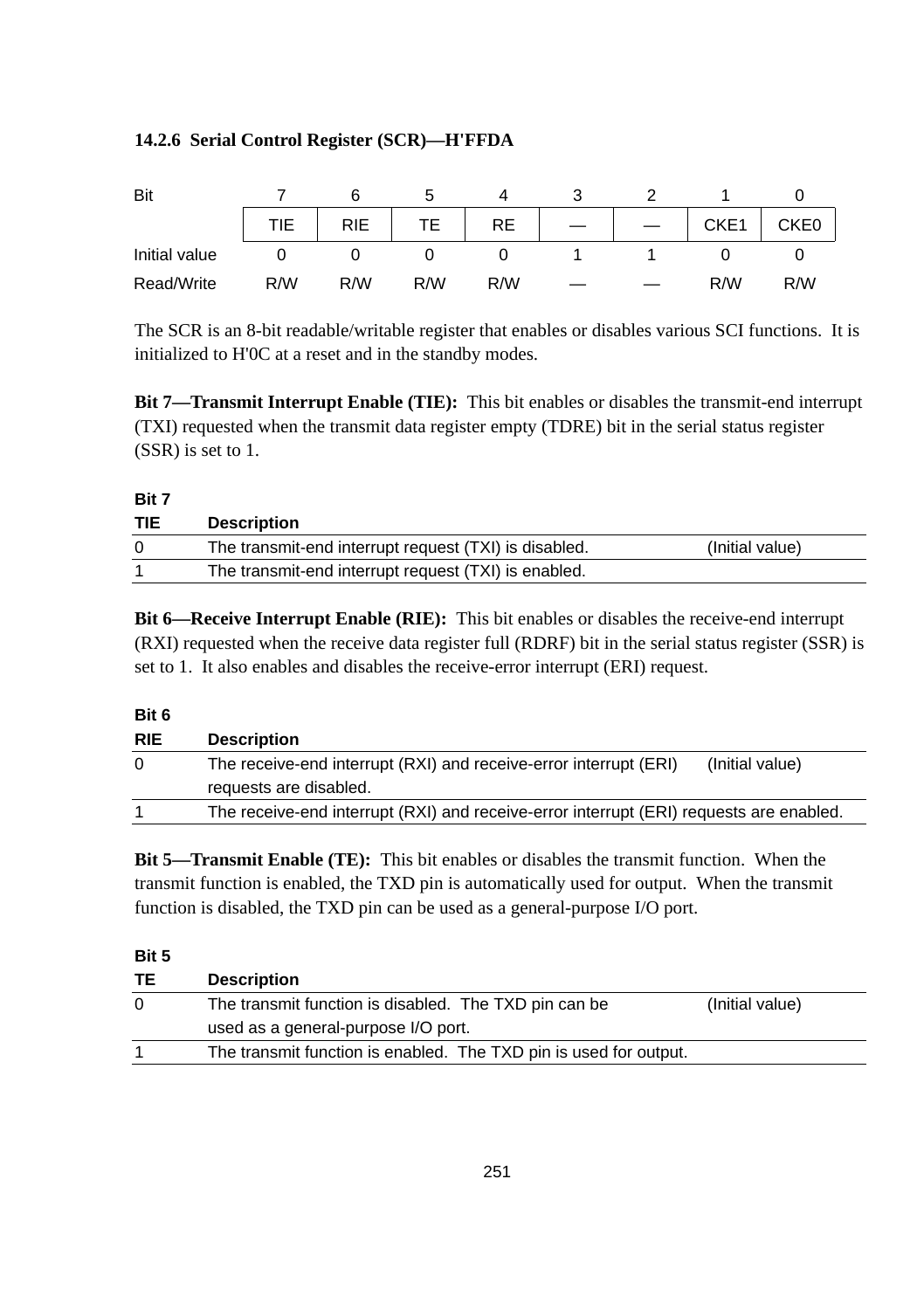#### **14.2.6 Serial Control Register (SCR)—H'FFDA**

| Bit           |            |            |     | $\Delta$  |  |      |                  |
|---------------|------------|------------|-----|-----------|--|------|------------------|
|               | <b>TIE</b> | <b>RIE</b> |     | <b>RE</b> |  | CKE1 | CKE <sub>0</sub> |
| Initial value |            |            |     |           |  |      |                  |
| Read/Write    | R/W        | R/W        | R/W | R/W       |  | R/W  | R/W              |

The SCR is an 8-bit readable/writable register that enables or disables various SCI functions. It is initialized to H'0C at a reset and in the standby modes.

**Bit 7—Transmit Interrupt Enable (TIE):** This bit enables or disables the transmit-end interrupt (TXI) requested when the transmit data register empty (TDRE) bit in the serial status register (SSR) is set to 1.

#### **Bit 7**

| <b>TIE</b> | <b>Description</b>                                    |                 |
|------------|-------------------------------------------------------|-----------------|
|            | The transmit-end interrupt request (TXI) is disabled. | (Initial value) |
|            | The transmit-end interrupt request (TXI) is enabled.  |                 |

**Bit 6—Receive Interrupt Enable (RIE):** This bit enables or disables the receive-end interrupt (RXI) requested when the receive data register full (RDRF) bit in the serial status register (SSR) is set to 1. It also enables and disables the receive-error interrupt (ERI) request.

#### **Bit 6**

| <b>RIE</b> | <b>Description</b>                                                                      |
|------------|-----------------------------------------------------------------------------------------|
| $\Omega$   | The receive-end interrupt (RXI) and receive-error interrupt (ERI)<br>(Initial value)    |
|            | requests are disabled.                                                                  |
|            | The receive-end interrupt (RXI) and receive-error interrupt (ERI) requests are enabled. |
|            |                                                                                         |

**Bit 5—Transmit Enable (TE):** This bit enables or disables the transmit function. When the transmit function is enabled, the TXD pin is automatically used for output. When the transmit function is disabled, the TXD pin can be used as a general-purpose I/O port.

**Bit 5**

| TЕ | <b>Description</b>                                                |                 |
|----|-------------------------------------------------------------------|-----------------|
| 0  | The transmit function is disabled. The TXD pin can be             | (Initial value) |
|    | used as a general-purpose I/O port.                               |                 |
|    | The transmit function is enabled. The TXD pin is used for output. |                 |
|    |                                                                   |                 |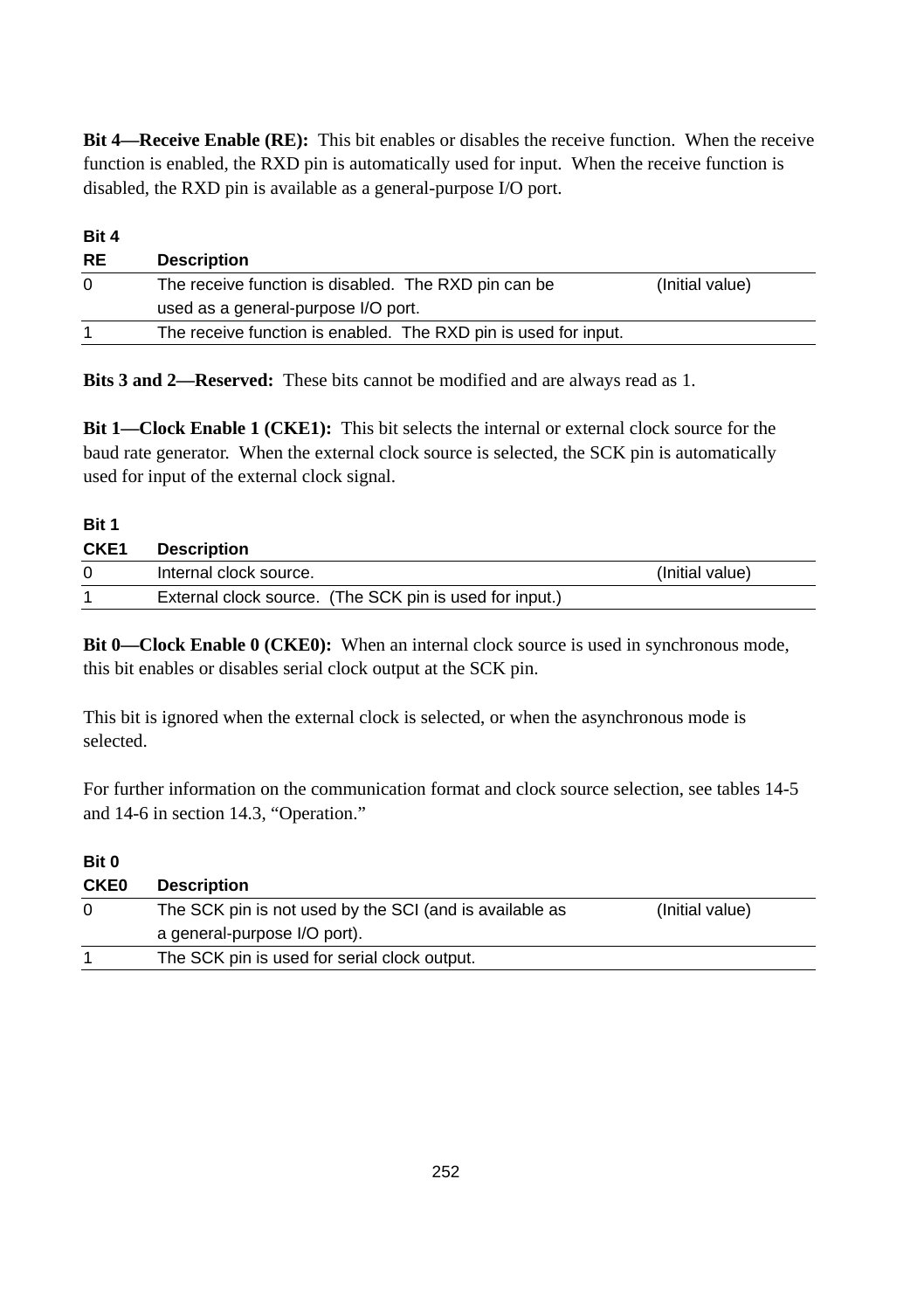**Bit 4—Receive Enable (RE):** This bit enables or disables the receive function. When the receive function is enabled, the RXD pin is automatically used for input. When the receive function is disabled, the RXD pin is available as a general-purpose I/O port.

| Bit 4     |                                                                 |                 |
|-----------|-----------------------------------------------------------------|-----------------|
| <b>RE</b> | <b>Description</b>                                              |                 |
| $\Omega$  | The receive function is disabled. The RXD pin can be            | (Initial value) |
|           | used as a general-purpose I/O port.                             |                 |
|           | The receive function is enabled. The RXD pin is used for input. |                 |

**Bits 3 and 2—Reserved:** These bits cannot be modified and are always read as 1.

**Bit 1—Clock Enable 1 (CKE1):** This bit selects the internal or external clock source for the baud rate generator. When the external clock source is selected, the SCK pin is automatically used for input of the external clock signal.

**Bit 1**

| CKE <sub>1</sub> | <b>Description</b>                                      |                 |
|------------------|---------------------------------------------------------|-----------------|
|                  | Internal clock source.                                  | (Initial value) |
|                  | External clock source. (The SCK pin is used for input.) |                 |

**Bit 0—Clock Enable 0 (CKE0):** When an internal clock source is used in synchronous mode, this bit enables or disables serial clock output at the SCK pin.

This bit is ignored when the external clock is selected, or when the asynchronous mode is selected.

For further information on the communication format and clock source selection, see tables 14-5 and 14-6 in section 14.3, "Operation."

| Bit 0       |                                                         |                 |
|-------------|---------------------------------------------------------|-----------------|
| <b>CKE0</b> | <b>Description</b>                                      |                 |
| 0           | The SCK pin is not used by the SCI (and is available as | (Initial value) |
|             | a general-purpose I/O port).                            |                 |
|             | The SCK pin is used for serial clock output.            |                 |
|             |                                                         |                 |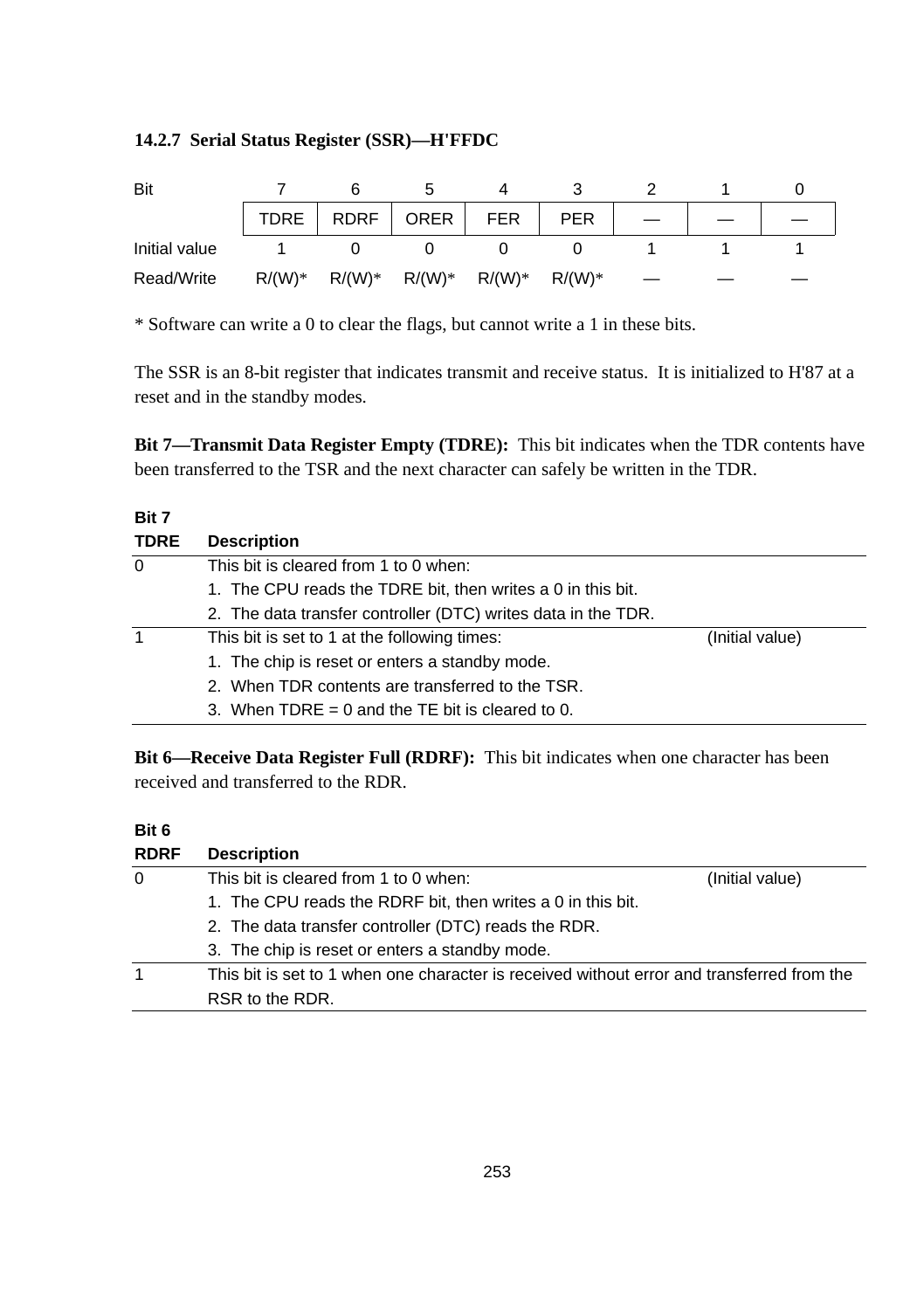#### **14.2.7 Serial Status Register (SSR)—H'FFDC**

| Bit           |          |          |             |            |            |  |  |
|---------------|----------|----------|-------------|------------|------------|--|--|
|               | TDRE     |          | RDRF   ORER | <b>FER</b> | <b>PER</b> |  |  |
| Initial value |          |          |             |            |            |  |  |
| Read/Write    | $R/(W)*$ | $R/(W)*$ | $R/(W)^*$   | $R/(W)^*$  | $R/(W)*$   |  |  |

\* Software can write a 0 to clear the flags, but cannot write a 1 in these bits.

The SSR is an 8-bit register that indicates transmit and receive status. It is initialized to H'87 at a reset and in the standby modes.

**Bit 7—Transmit Data Register Empty (TDRE):** This bit indicates when the TDR contents have been transferred to the TSR and the next character can safely be written in the TDR.

#### **Bit 7**

| <b>TDRE</b> | <b>Description</b>                                            |                 |
|-------------|---------------------------------------------------------------|-----------------|
| 0           | This bit is cleared from 1 to 0 when:                         |                 |
|             | 1. The CPU reads the TDRE bit, then writes a 0 in this bit.   |                 |
|             | 2. The data transfer controller (DTC) writes data in the TDR. |                 |
| 1           | This bit is set to 1 at the following times:                  | (Initial value) |
|             | 1. The chip is reset or enters a standby mode.                |                 |
|             | 2. When TDR contents are transferred to the TSR.              |                 |
|             | 3. When TDRE = 0 and the TE bit is cleared to 0.              |                 |

**Bit 6—Receive Data Register Full (RDRF):** This bit indicates when one character has been received and transferred to the RDR.

#### **Bit 6**

| <b>RDRF</b> | <b>Description</b>                                                                         |                 |
|-------------|--------------------------------------------------------------------------------------------|-----------------|
| $\Omega$    | This bit is cleared from 1 to 0 when:                                                      | (Initial value) |
|             | 1. The CPU reads the RDRF bit, then writes a 0 in this bit.                                |                 |
|             | 2. The data transfer controller (DTC) reads the RDR.                                       |                 |
|             | 3. The chip is reset or enters a standby mode.                                             |                 |
| 1           | This bit is set to 1 when one character is received without error and transferred from the |                 |
|             | RSR to the RDR.                                                                            |                 |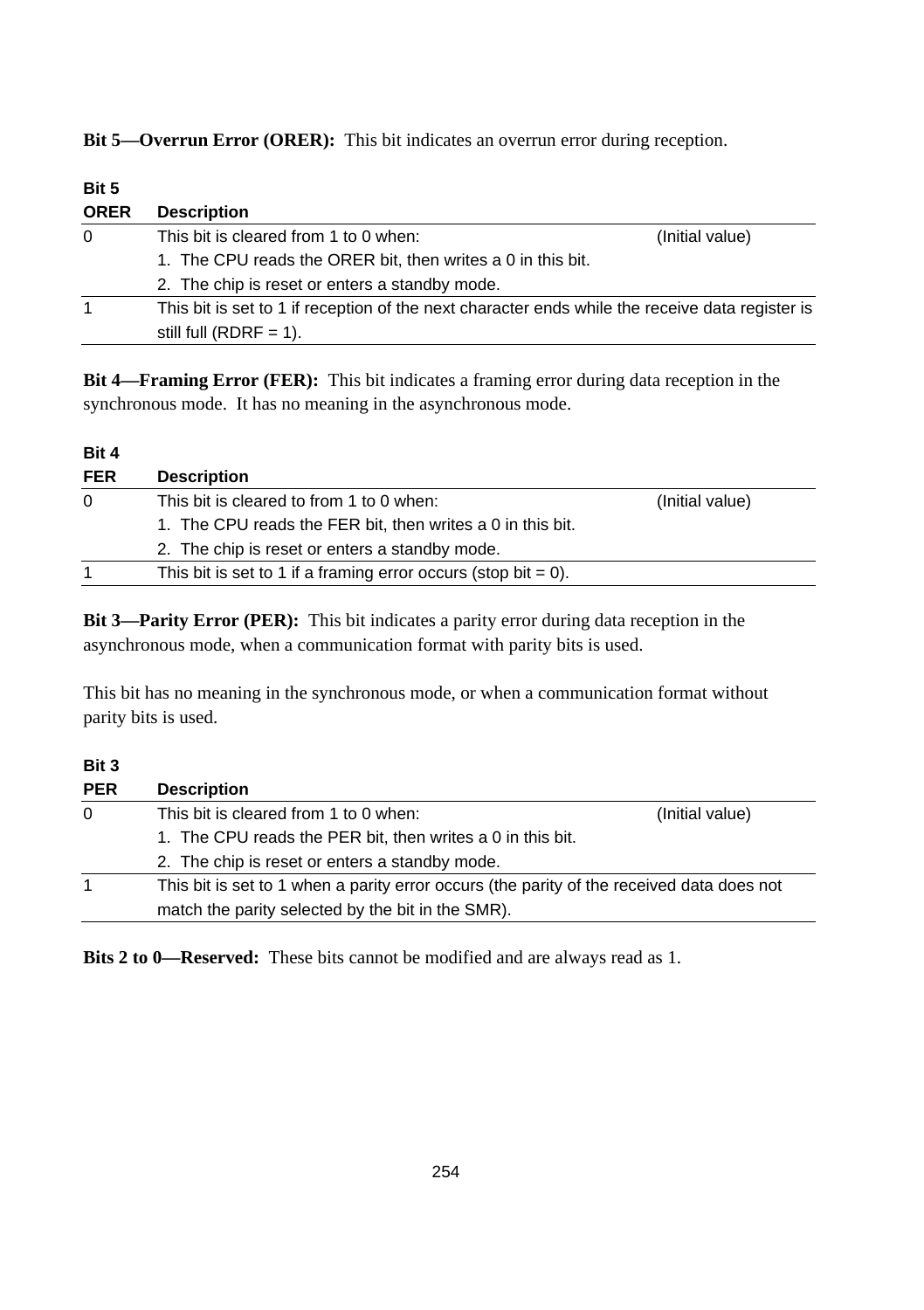**Bit 5—Overrun Error (ORER):** This bit indicates an overrun error during reception.

| Bit 5       |                                                                                                 |                 |
|-------------|-------------------------------------------------------------------------------------------------|-----------------|
| <b>ORER</b> | <b>Description</b>                                                                              |                 |
| $\Omega$    | This bit is cleared from 1 to 0 when:                                                           | (Initial value) |
|             | 1. The CPU reads the ORER bit, then writes a 0 in this bit.                                     |                 |
|             | 2. The chip is reset or enters a standby mode.                                                  |                 |
| 1           | This bit is set to 1 if reception of the next character ends while the receive data register is |                 |
|             | still full (RDRF = 1).                                                                          |                 |

**Bit 4—Framing Error (FER):** This bit indicates a framing error during data reception in the synchronous mode. It has no meaning in the asynchronous mode.

#### **Bit 4**

| <b>Description</b>                                                |                 |
|-------------------------------------------------------------------|-----------------|
| This bit is cleared to from 1 to 0 when:                          | (Initial value) |
| 1. The CPU reads the FER bit, then writes a 0 in this bit.        |                 |
| 2. The chip is reset or enters a standby mode.                    |                 |
| This bit is set to 1 if a framing error occurs (stop bit $= 0$ ). |                 |
|                                                                   |                 |

**Bit 3—Parity Error (PER):** This bit indicates a parity error during data reception in the asynchronous mode, when a communication format with parity bits is used.

This bit has no meaning in the synchronous mode, or when a communication format without parity bits is used.

**Bit 3**

| <b>PER</b> | <b>Description</b>                                                                        |                 |
|------------|-------------------------------------------------------------------------------------------|-----------------|
| 0          | This bit is cleared from 1 to 0 when:                                                     | (Initial value) |
|            | 1. The CPU reads the PER bit, then writes a 0 in this bit.                                |                 |
|            | 2. The chip is reset or enters a standby mode.                                            |                 |
| 1          | This bit is set to 1 when a parity error occurs (the parity of the received data does not |                 |
|            | match the parity selected by the bit in the SMR).                                         |                 |

**Bits 2 to 0—Reserved:** These bits cannot be modified and are always read as 1.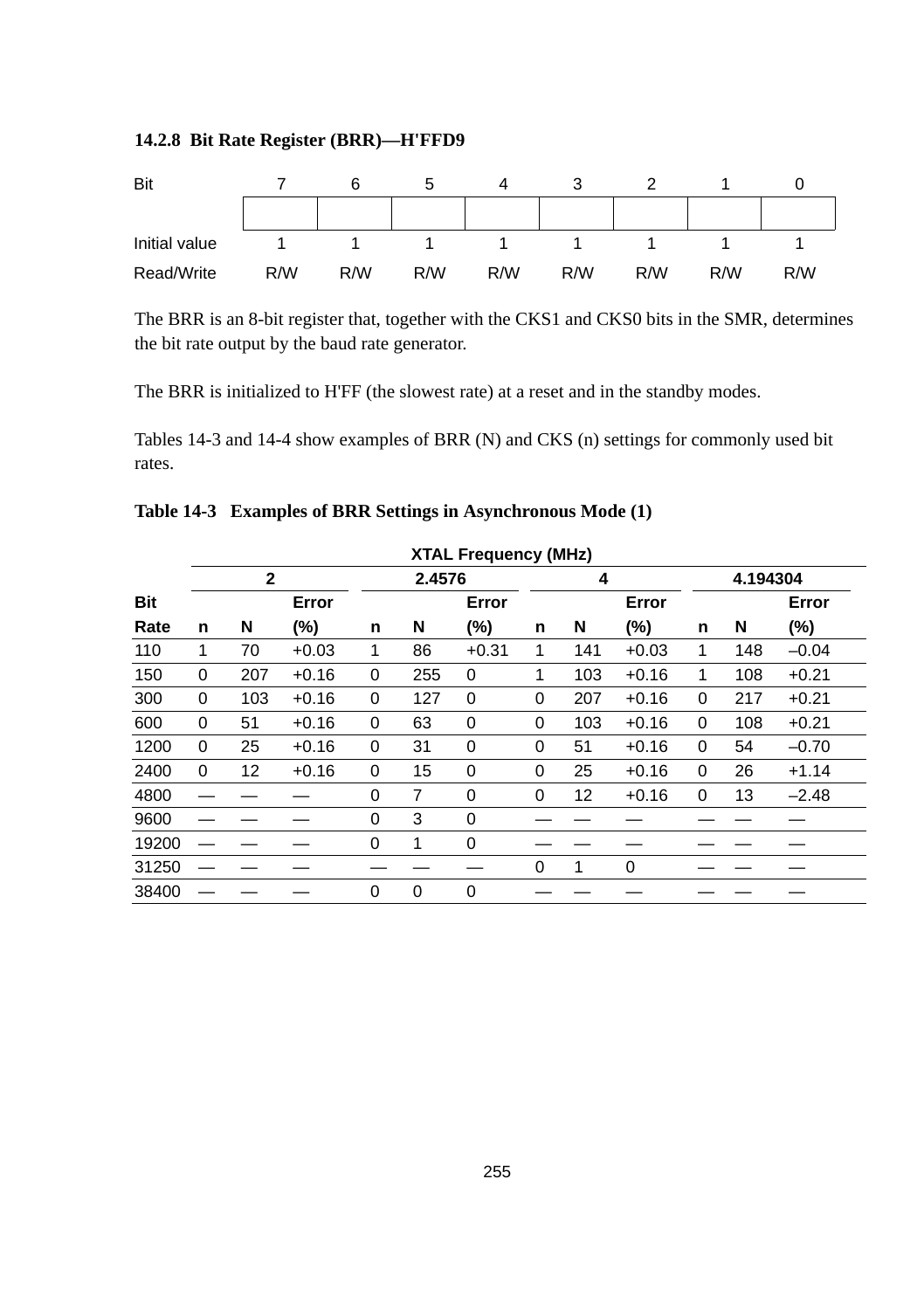#### **14.2.8 Bit Rate Register (BRR)—H'FFD9**



The BRR is an 8-bit register that, together with the CKS1 and CKS0 bits in the SMR, determines the bit rate output by the baud rate generator.

The BRR is initialized to H'FF (the slowest rate) at a reset and in the standby modes.

Tables 14-3 and 14-4 show examples of BRR (N) and CKS (n) settings for commonly used bit rates.

|            |   | <b>XTAL Frequency (MHz)</b> |         |   |             |             |   |     |         |              |          |         |
|------------|---|-----------------------------|---------|---|-------------|-------------|---|-----|---------|--------------|----------|---------|
|            |   | $\mathbf{2}$                |         |   |             | 2.4576      |   | 4   |         |              | 4.194304 |         |
| <b>Bit</b> |   |                             | Error   |   |             | Error       |   |     | Error   |              |          | Error   |
| Rate       | n | N                           | (%)     | n | N           | (%)         | n | N   | $(\%)$  | n            | N        | $(\%)$  |
| 110        | 1 | 70                          | $+0.03$ | 1 | 86          | $+0.31$     | 1 | 141 | $+0.03$ | 1            | 148      | $-0.04$ |
| 150        | 0 | 207                         | $+0.16$ | 0 | 255         | 0           | 1 | 103 | $+0.16$ | $\mathbf{1}$ | 108      | $+0.21$ |
| 300        | 0 | 103                         | $+0.16$ | 0 | 127         | 0           | 0 | 207 | $+0.16$ | 0            | 217      | $+0.21$ |
| 600        | 0 | 51                          | $+0.16$ | 0 | 63          | 0           | 0 | 103 | $+0.16$ | 0            | 108      | $+0.21$ |
| 1200       | 0 | 25                          | $+0.16$ | 0 | 31          | 0           | 0 | 51  | $+0.16$ | 0            | 54       | $-0.70$ |
| 2400       | 0 | 12                          | $+0.16$ | 0 | 15          | 0           | 0 | 25  | $+0.16$ | 0            | 26       | $+1.14$ |
| 4800       |   |                             |         | 0 | 7           | 0           | 0 | 12  | $+0.16$ | 0            | 13       | $-2.48$ |
| 9600       |   |                             |         | 0 | 3           | 0           |   |     |         |              |          |         |
| 19200      |   |                             |         | 0 | 1           | $\mathbf 0$ |   |     |         |              |          |         |
| 31250      |   |                             |         |   |             |             | 0 | 1   | 0       |              |          |         |
| 38400      |   |                             |         | 0 | $\mathbf 0$ | $\mathbf 0$ |   |     |         |              |          |         |

#### **Table 14-3 Examples of BRR Settings in Asynchronous Mode (1)**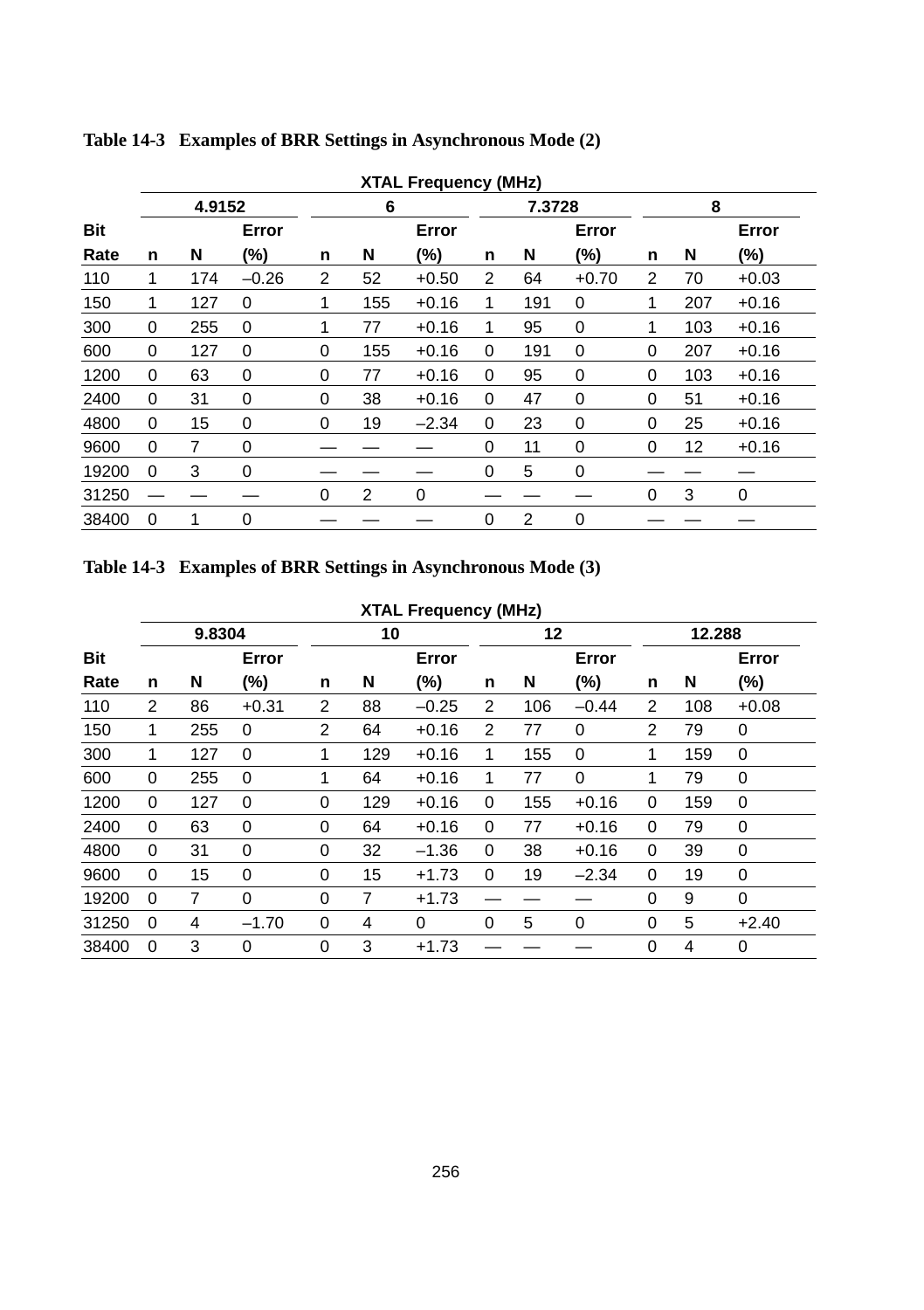|            |                       |     |         |          |     | <b>XTAL Frequency (MHz)</b> |   |     |             |                |     |         |  |
|------------|-----------------------|-----|---------|----------|-----|-----------------------------|---|-----|-------------|----------------|-----|---------|--|
|            | 4.9152<br>6<br>7.3728 |     |         |          |     |                             |   |     |             |                | 8   |         |  |
| <b>Bit</b> |                       |     | Error   |          |     | Error                       |   |     | Error       |                |     | Error   |  |
| Rate       | n                     | N   | (%)     | n        | N   | (%)                         | n | N   | (%)         | n              | N   | (%)     |  |
| 110        | 1                     | 174 | $-0.26$ | 2        | 52  | $+0.50$                     | 2 | 64  | $+0.70$     | $\overline{2}$ | 70  | $+0.03$ |  |
| 150        | 1                     | 127 | 0       | 1        | 155 | $+0.16$                     | 1 | 191 | 0           | 1              | 207 | $+0.16$ |  |
| 300        | $\Omega$              | 255 | 0       | 1        | 77  | $+0.16$                     | 1 | 95  | 0           | 1              | 103 | $+0.16$ |  |
| 600        | 0                     | 127 | 0       | $\Omega$ | 155 | $+0.16$                     | 0 | 191 | 0           | 0              | 207 | $+0.16$ |  |
| 1200       | $\Omega$              | 63  | 0       | 0        | 77  | $+0.16$                     | 0 | 95  | $\mathbf 0$ | 0              | 103 | $+0.16$ |  |
| 2400       | $\Omega$              | 31  | 0       | $\Omega$ | 38  | $+0.16$                     | 0 | 47  | 0           | 0              | 51  | $+0.16$ |  |
| 4800       | $\Omega$              | 15  | 0       | 0        | 19  | $-2.34$                     | 0 | 23  | $\mathbf 0$ | 0              | 25  | $+0.16$ |  |
| 9600       | $\Omega$              | 7   | 0       |          |     |                             | 0 | 11  | $\mathbf 0$ | 0              | 12  | $+0.16$ |  |
| 19200      | $\Omega$              | 3   | 0       |          |     |                             | 0 | 5   | $\mathbf 0$ |                |     |         |  |
| 31250      |                       |     |         | $\Omega$ | 2   | 0                           |   |     |             | 0              | 3   | 0       |  |
| 38400      | 0                     | 1   | 0       |          |     |                             | 0 | 2   | $\mathbf 0$ |                |     |         |  |

**Table 14-3 Examples of BRR Settings in Asynchronous Mode (2)**

**Table 14-3 Examples of BRR Settings in Asynchronous Mode (3)**

| <b>XTAL Frequency (MHz)</b> |          |                |             |                |     |          |                |     |             |          |     |          |
|-----------------------------|----------|----------------|-------------|----------------|-----|----------|----------------|-----|-------------|----------|-----|----------|
|                             | 9.8304   |                |             | 10             |     |          | 12             |     |             | 12.288   |     |          |
| <b>Bit</b>                  |          |                | Error       |                |     | Error    |                |     | Error       |          |     | Error    |
| Rate                        | n        | N              | $(\%)$      | n              | N   | $(\% )$  | n              | N   | $(\%)$      | n        | N   | (%)      |
| 110                         | 2        | 86             | $+0.31$     | 2              | 88  | $-0.25$  | $\overline{2}$ | 106 | $-0.44$     | 2        | 108 | $+0.08$  |
| 150                         | 1        | 255            | 0           | $\overline{2}$ | 64  | $+0.16$  | $\overline{2}$ | 77  | 0           | 2        | 79  | 0        |
| 300                         | 1        | 127            | $\mathbf 0$ | 1              | 129 | $+0.16$  | 1              | 155 | 0           | 1        | 159 | 0        |
| 600                         | 0        | 255            | 0           | 1              | 64  | $+0.16$  | 1              | 77  | 0           | 1        | 79  | 0        |
| 1200                        | $\Omega$ | 127            | $\Omega$    | 0              | 129 | $+0.16$  | 0              | 155 | $+0.16$     | $\Omega$ | 159 | $\Omega$ |
| 2400                        | 0        | 63             | $\mathbf 0$ | 0              | 64  | $+0.16$  | 0              | 77  | $+0.16$     | 0        | 79  | 0        |
| 4800                        | $\Omega$ | 31             | $\mathbf 0$ | 0              | 32  | $-1.36$  | 0              | 38  | $+0.16$     | $\Omega$ | 39  | $\Omega$ |
| 9600                        | $\Omega$ | 15             | $\mathbf 0$ | 0              | 15  | $+1.73$  | $\Omega$       | 19  | $-2.34$     | 0        | 19  | 0        |
| 19200                       | 0        | $\overline{7}$ | $\mathbf 0$ | 0              | 7   | $+1.73$  |                |     |             | 0        | 9   | $\Omega$ |
| 31250                       | 0        | 4              | $-1.70$     | 0              | 4   | $\Omega$ | $\Omega$       | 5   | $\mathbf 0$ | 0        | 5   | $+2.40$  |
| 38400                       | 0        | 3              | $\mathbf 0$ | 0              | 3   | $+1.73$  |                |     |             | 0        | 4   | 0        |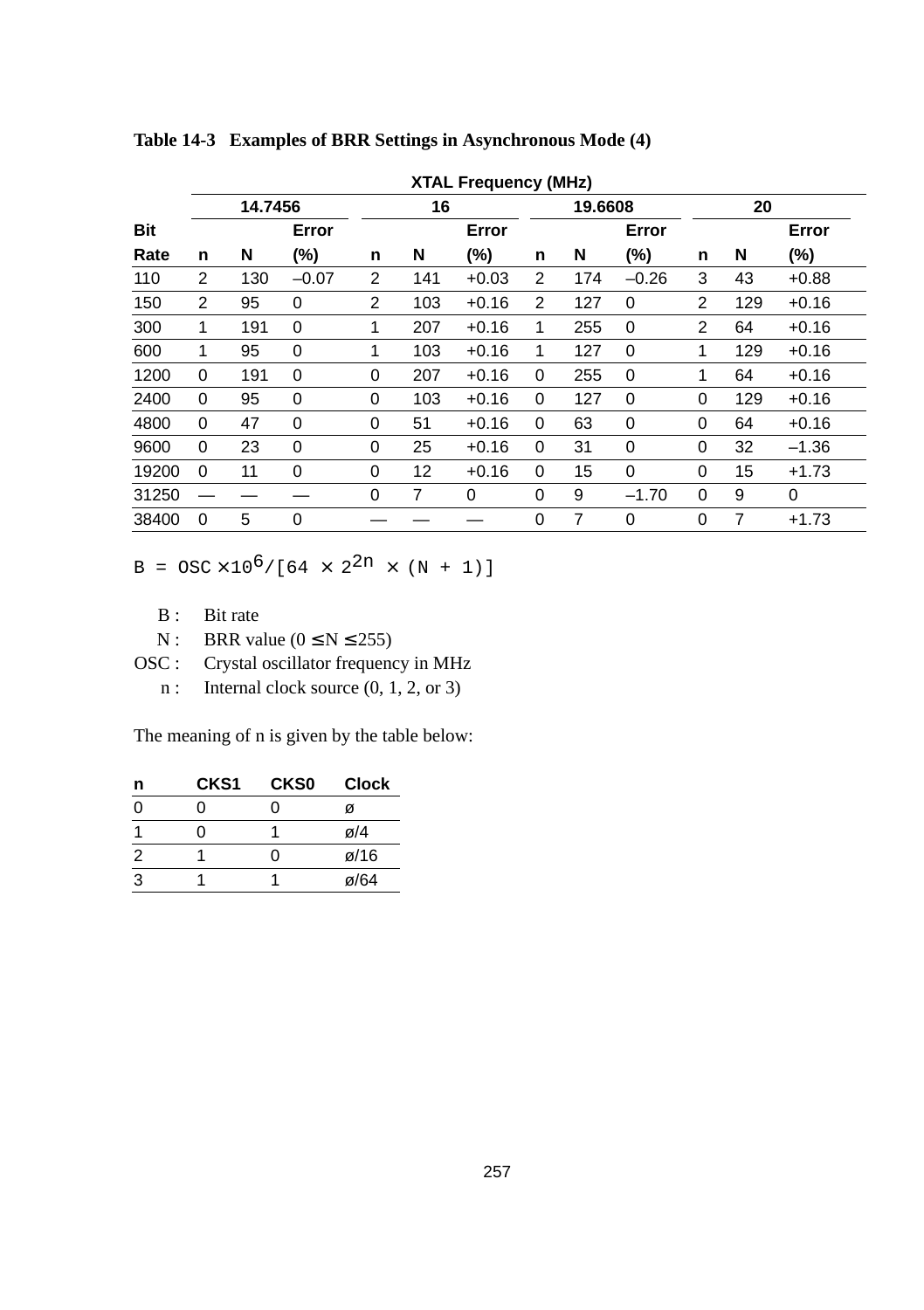|            | <b>XTAL Frequency (MHz)</b> |         |              |          |     |         |   |         |         |                |     |         |
|------------|-----------------------------|---------|--------------|----------|-----|---------|---|---------|---------|----------------|-----|---------|
|            |                             | 14.7456 |              |          | 16  |         |   | 19,6608 |         | 20             |     |         |
| <b>Bit</b> |                             |         | Error        |          |     | Error   |   |         | Error   |                |     | Error   |
| Rate       | n                           | N       | (%)          | n        | N   | (%)     | n | N       | (%)     | n              | N   | $(\%)$  |
| 110        | 2                           | 130     | $-0.07$      | 2        | 141 | $+0.03$ | 2 | 174     | $-0.26$ | 3              | 43  | $+0.88$ |
| 150        | $\overline{2}$              | 95      | $\Omega$     | 2        | 103 | $+0.16$ | 2 | 127     | 0       | 2              | 129 | $+0.16$ |
| 300        | 1                           | 191     | 0            | 1        | 207 | $+0.16$ | 1 | 255     | 0       | $\overline{2}$ | 64  | $+0.16$ |
| 600        | 1                           | 95      | $\Omega$     | 1        | 103 | $+0.16$ | 1 | 127     | 0       | 1              | 129 | $+0.16$ |
| 1200       | $\Omega$                    | 191     | $\Omega$     | 0        | 207 | $+0.16$ | 0 | 255     | 0       | 1              | 64  | $+0.16$ |
| 2400       | 0                           | 95      | $\Omega$     | 0        | 103 | $+0.16$ | 0 | 127     | 0       | $\Omega$       | 129 | $+0.16$ |
| 4800       | $\Omega$                    | 47      | 0            | 0        | 51  | $+0.16$ | 0 | 63      | 0       | 0              | 64  | $+0.16$ |
| 9600       | $\Omega$                    | 23      | $\Omega$     | $\Omega$ | 25  | $+0.16$ | 0 | 31      | 0       | $\Omega$       | 32  | $-1.36$ |
| 19200      | $\Omega$                    | 11      | 0            | 0        | 12  | $+0.16$ | 0 | 15      | 0       | $\Omega$       | 15  | $+1.73$ |
| 31250      |                             |         |              | 0        | 7   | 0       | 0 | 9       | $-1.70$ | $\Omega$       | 9   | 0       |
| 38400      | 0                           | 5       | $\mathbf{0}$ |          |     |         | 0 | 7       | 0       | 0              | 7   | $+1.73$ |

**Table 14-3 Examples of BRR Settings in Asynchronous Mode (4)**

 $B = OSC \times 10^6 / [64 \times 2^{2n} \times (N + 1)]$ 

- B : Bit rate
- N : BRR value ( $0 \le N \le 255$ )
- OSC : Crystal oscillator frequency in MHz
	- n : Internal clock source  $(0, 1, 2, \text{or } 3)$

The meaning of n is given by the table below:

| n | CKS <sub>1</sub> | <b>CKS0</b> | <b>Clock</b>      |
|---|------------------|-------------|-------------------|
| 0 | O                |             | ø                 |
|   | O                |             | ø/4               |
| 2 |                  |             | $\varnothing$ /16 |
| 3 |                  |             | ø/64              |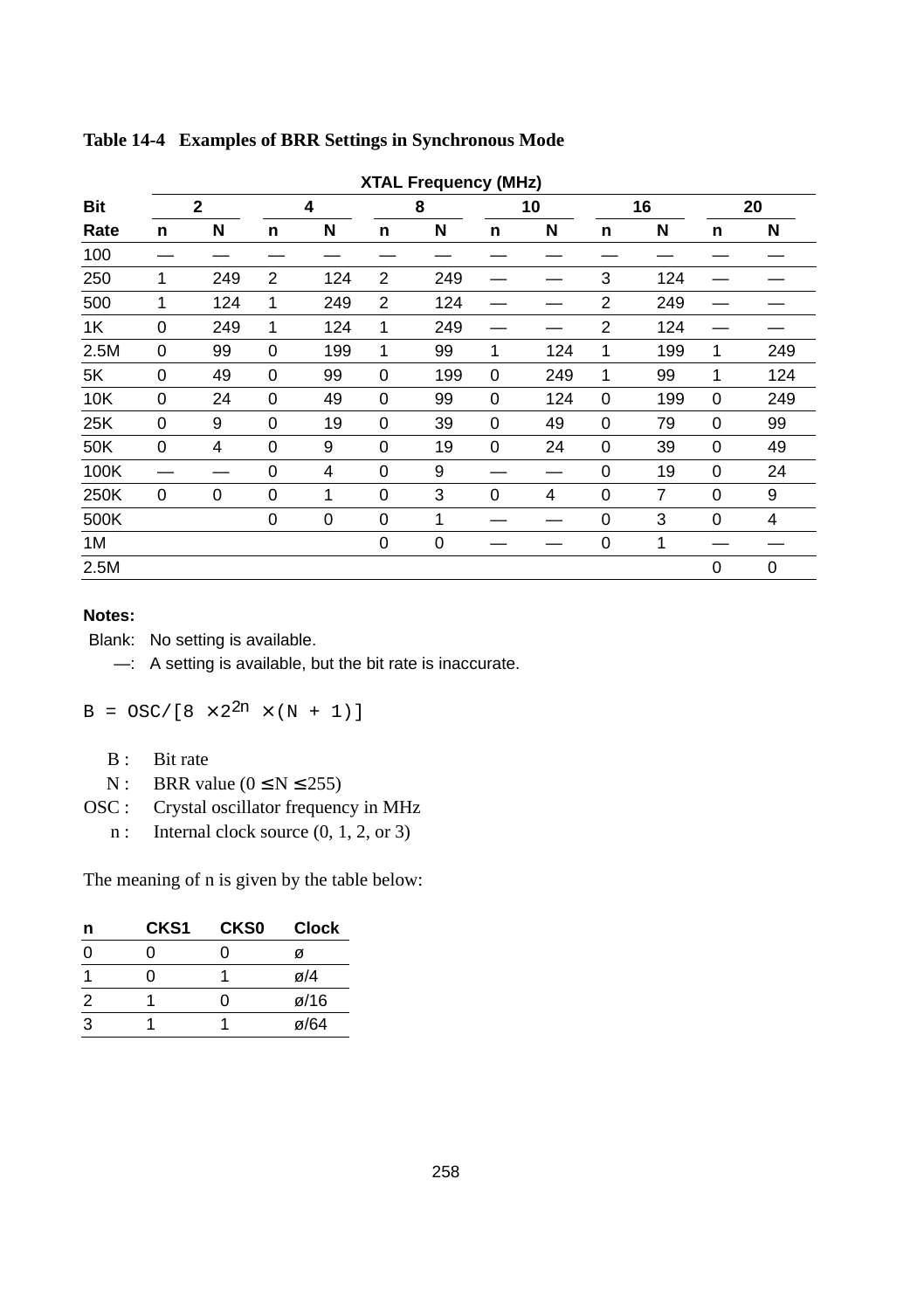|      | <b>XTAL Frequency (MHz)</b> |                |          |     |                |             |   |     |                |     |    |     |
|------|-----------------------------|----------------|----------|-----|----------------|-------------|---|-----|----------------|-----|----|-----|
| Bit  |                             | $\overline{2}$ | 4        |     |                | 8           |   | 10  |                | 16  | 20 |     |
| Rate | n                           | N              | n        | N   | n              | N           | n | N   | n              | N   | n  | N   |
| 100  |                             |                |          |     |                |             |   |     |                |     |    |     |
| 250  | 1                           | 249            | 2        | 124 | $\overline{2}$ | 249         |   |     | 3              | 124 |    |     |
| 500  | $\mathbf{1}$                | 124            | 1        | 249 | 2              | 124         |   |     | $\overline{2}$ | 249 |    |     |
| 1K   | 0                           | 249            | 1        | 124 | 1              | 249         |   |     | $\overline{2}$ | 124 |    |     |
| 2.5M | 0                           | 99             | 0        | 199 | $\mathbf{1}$   | 99          | 1 | 124 | 1              | 199 | 1  | 249 |
| 5K   | 0                           | 49             | 0        | 99  | 0              | 199         | 0 | 249 | 1              | 99  | 1  | 124 |
| 10K  | 0                           | 24             | 0        | 49  | 0              | 99          | 0 | 124 | 0              | 199 | 0  | 249 |
| 25K  | 0                           | 9              | $\Omega$ | 19  | 0              | 39          | 0 | 49  | 0              | 79  | 0  | 99  |
| 50K  | 0                           | 4              | $\Omega$ | 9   | 0              | 19          | 0 | 24  | 0              | 39  | 0  | 49  |
| 100K |                             |                | 0        | 4   | 0              | 9           |   |     | 0              | 19  | 0  | 24  |
| 250K | 0                           | 0              | 0        | 1   | 0              | 3           | 0 | 4   | 0              | 7   | 0  | 9   |
| 500K |                             |                | 0        | 0   | 0              | 1           |   |     | 0              | 3   | 0  | 4   |
| 1M   |                             |                |          |     | $\mathbf 0$    | $\mathbf 0$ |   |     | 0              | 1   |    |     |
| 2.5M |                             |                |          |     |                |             |   |     |                |     | 0  | 0   |

#### **Table 14-4 Examples of BRR Settings in Synchronous Mode**

#### **Notes:**

Blank: No setting is available.

—: A setting is available, but the bit rate is inaccurate.

 $B = OSC/[8 \times 2^{2n} \times (N + 1)]$ 

- B : Bit rate
- N : BRR value  $(0 \le N \le 255)$
- OSC : Crystal oscillator frequency in MHz
	- n : Internal clock source  $(0, 1, 2, \text{or } 3)$

The meaning of n is given by the table below:

| n | CKS <sub>1</sub> | <b>CKS0</b> | <b>Clock</b>      |
|---|------------------|-------------|-------------------|
| ŋ | 0                | O           | ø                 |
|   |                  |             | ø/4               |
| 2 |                  | O           | $\varnothing$ /16 |
| 3 |                  |             | $\varnothing$ /64 |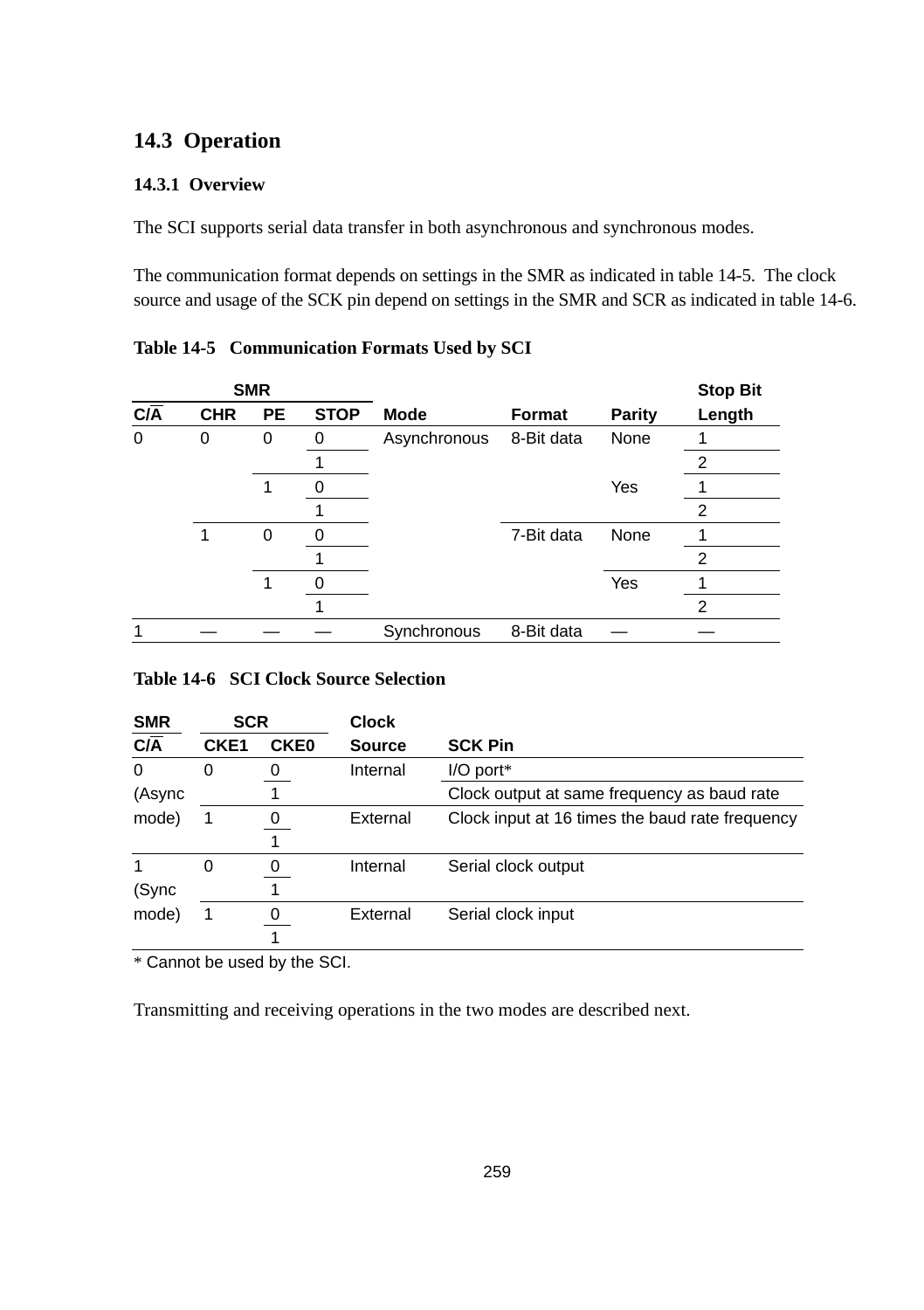## **14.3 Operation**

#### **14.3.1 Overview**

The SCI supports serial data transfer in both asynchronous and synchronous modes.

The communication format depends on settings in the SMR as indicated in table 14-5. The clock source and usage of the SCK pin depend on settings in the SMR and SCR as indicated in table 14-6.

|                             |            | <b>SMR</b> |             |              |               |               | <b>Stop Bit</b> |
|-----------------------------|------------|------------|-------------|--------------|---------------|---------------|-----------------|
| $\overline{C/\overline{A}}$ | <b>CHR</b> | <b>PE</b>  | <b>STOP</b> | <b>Mode</b>  | <b>Format</b> | <b>Parity</b> | Length          |
| 0                           | 0          | 0          | 0           | Asynchronous | 8-Bit data    | None          |                 |
|                             |            |            |             |              |               |               | 2               |
|                             |            | 1          | 0           |              |               | Yes           |                 |
|                             |            |            |             |              |               |               | $\overline{2}$  |
|                             |            | 0          | O           |              | 7-Bit data    | None          |                 |
|                             |            |            |             |              |               |               | $\overline{2}$  |
|                             |            | 1          |             |              |               | Yes           |                 |
|                             |            |            |             |              |               |               | $\overline{2}$  |
|                             |            |            |             | Synchronous  | 8-Bit data    |               |                 |

|  | Table 14-5 Communication Formats Used by SCI |  |  |  |
|--|----------------------------------------------|--|--|--|
|--|----------------------------------------------|--|--|--|

#### **Table 14-6 SCI Clock Source Selection**

| <b>SMR</b>                  | <b>SCR</b>       |             | <b>Clock</b>  |                                                 |  |  |  |  |
|-----------------------------|------------------|-------------|---------------|-------------------------------------------------|--|--|--|--|
| $\overline{C/\overline{A}}$ | CKE <sub>1</sub> | <b>CKE0</b> | <b>Source</b> | <b>SCK Pin</b>                                  |  |  |  |  |
| 0                           | 0                | 0           | Internal      | $I/O$ port*                                     |  |  |  |  |
| (Async                      |                  |             |               | Clock output at same frequency as baud rate     |  |  |  |  |
| mode)                       |                  | 0           | External      | Clock input at 16 times the baud rate frequency |  |  |  |  |
|                             |                  |             |               |                                                 |  |  |  |  |
|                             | 0                | 0           | Internal      | Serial clock output                             |  |  |  |  |
| (Sync                       |                  |             |               |                                                 |  |  |  |  |
| mode)                       | 1                |             | External      | Serial clock input                              |  |  |  |  |
|                             |                  |             |               |                                                 |  |  |  |  |

\* Cannot be used by the SCI.

Transmitting and receiving operations in the two modes are described next.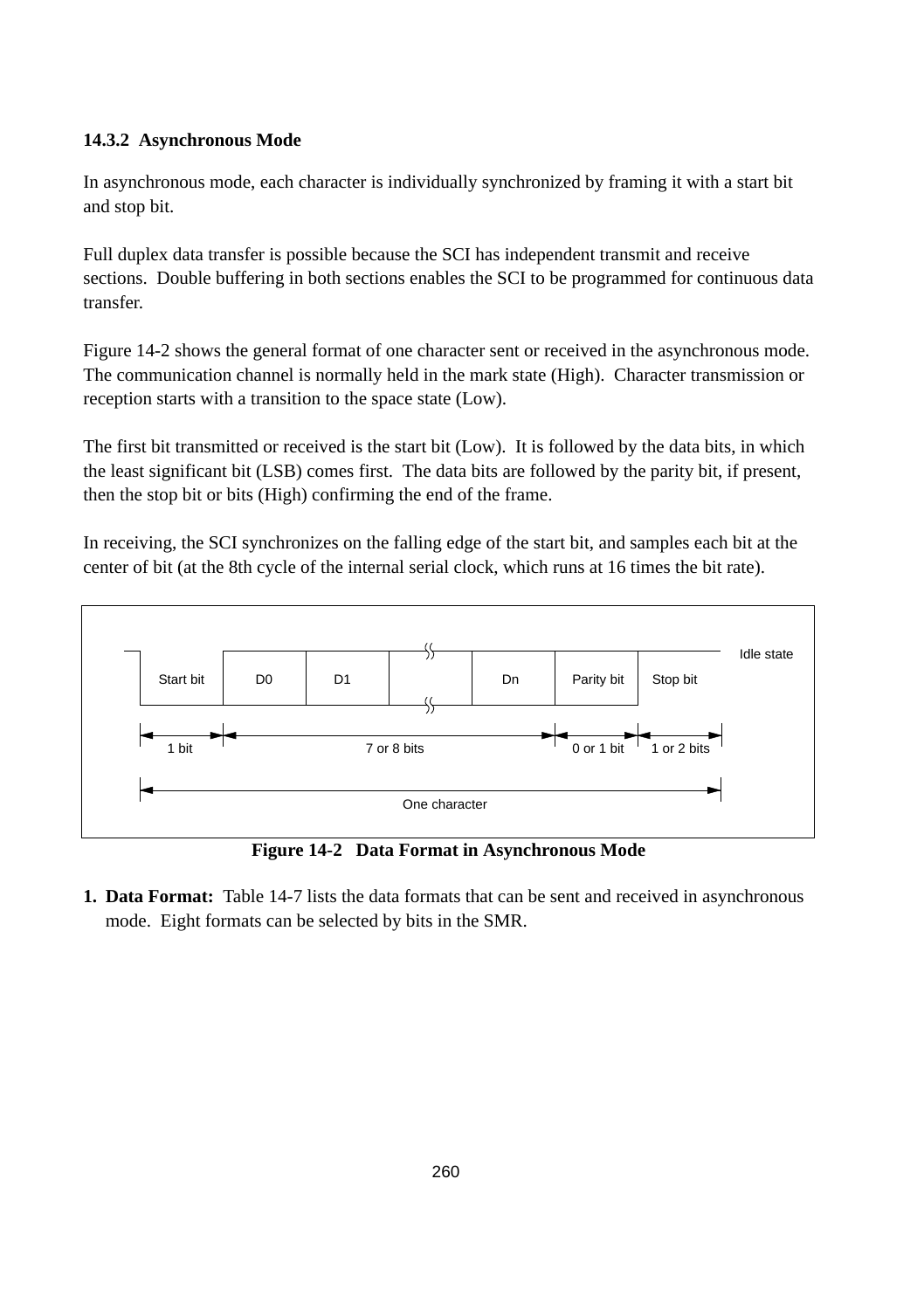#### **14.3.2 Asynchronous Mode**

In asynchronous mode, each character is individually synchronized by framing it with a start bit and stop bit.

Full duplex data transfer is possible because the SCI has independent transmit and receive sections. Double buffering in both sections enables the SCI to be programmed for continuous data transfer.

Figure 14-2 shows the general format of one character sent or received in the asynchronous mode. The communication channel is normally held in the mark state (High). Character transmission or reception starts with a transition to the space state (Low).

The first bit transmitted or received is the start bit (Low). It is followed by the data bits, in which the least significant bit (LSB) comes first. The data bits are followed by the parity bit, if present, then the stop bit or bits (High) confirming the end of the frame.

In receiving, the SCI synchronizes on the falling edge of the start bit, and samples each bit at the center of bit (at the 8th cycle of the internal serial clock, which runs at 16 times the bit rate).



**Figure 14-2 Data Format in Asynchronous Mode**

**1. Data Format:** Table 14-7 lists the data formats that can be sent and received in asynchronous mode. Eight formats can be selected by bits in the SMR.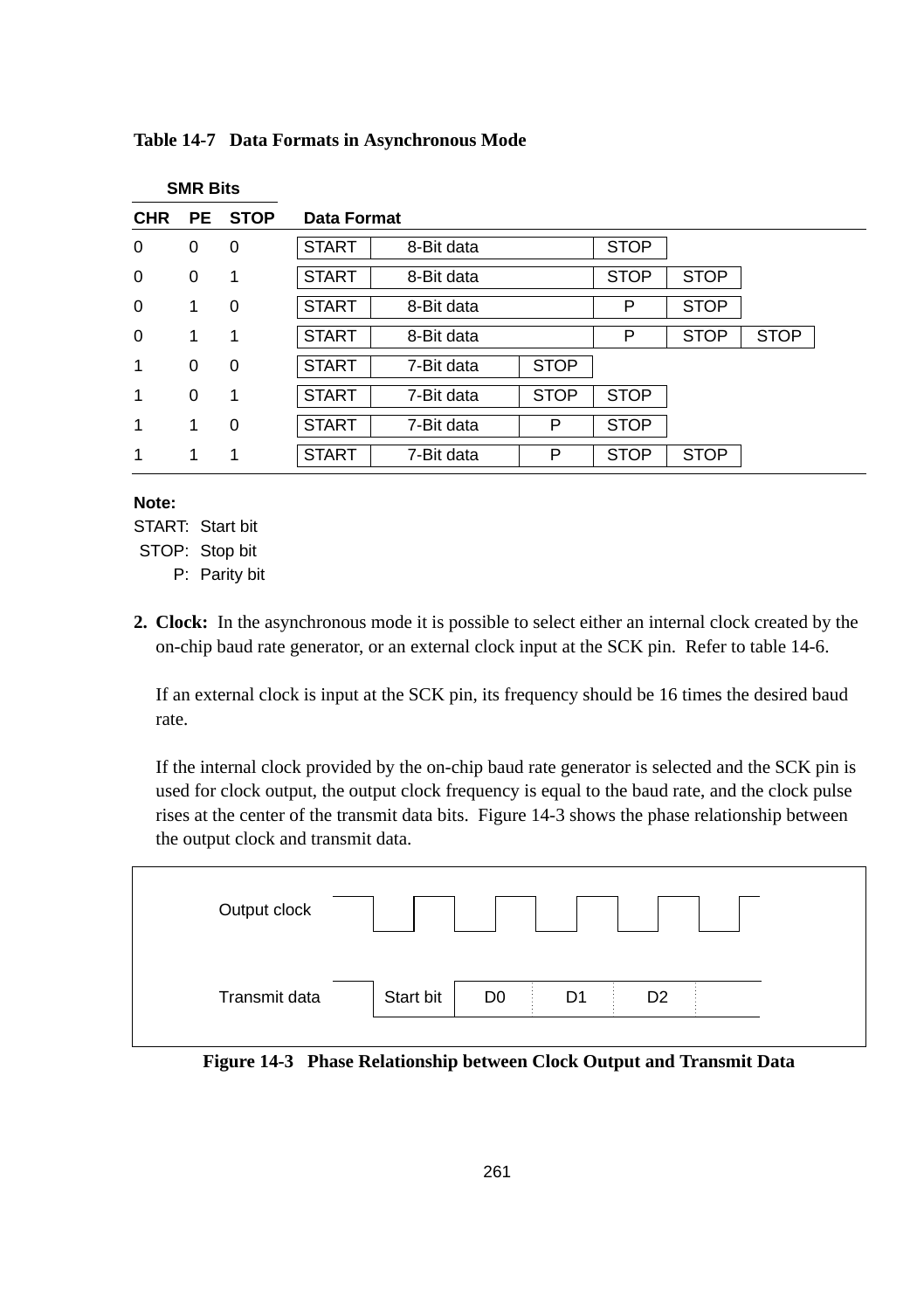|            | SMR BILS  |             |              |             |             |             |             |             |  |
|------------|-----------|-------------|--------------|-------------|-------------|-------------|-------------|-------------|--|
| <b>CHR</b> | <b>PE</b> | <b>STOP</b> |              | Data Format |             |             |             |             |  |
| 0          | 0         | 0           | <b>START</b> | 8-Bit data  |             | <b>STOP</b> |             |             |  |
| $\Omega$   | 0         | 1           | <b>START</b> | 8-Bit data  |             | <b>STOP</b> | <b>STOP</b> |             |  |
| 0          | 1         | 0           | <b>START</b> | 8-Bit data  |             | P           | <b>STOP</b> |             |  |
| $\Omega$   | 1         | 1           | <b>START</b> | 8-Bit data  |             | P           | <b>STOP</b> | <b>STOP</b> |  |
| 1          | 0         | 0           | <b>START</b> | 7-Bit data  | <b>STOP</b> |             |             |             |  |
| 1          | 0         | 1           | <b>START</b> | 7-Bit data  | <b>STOP</b> | <b>STOP</b> |             |             |  |
| 1          | 1         | $\mathbf 0$ | <b>START</b> | 7-Bit data  | P           | <b>STOP</b> |             |             |  |
| 1          | 1         | 1           | <b>START</b> | 7-Bit data  | P           | <b>STOP</b> | <b>STOP</b> |             |  |

#### **Table 14-7 Data Formats in Asynchronous Mode**

#### **Note:**

START: Start bit

**SMR Bits**

- STOP: Stop bit
	- P: Parity bit
- **2. Clock:** In the asynchronous mode it is possible to select either an internal clock created by the on-chip baud rate generator, or an external clock input at the SCK pin. Refer to table 14-6.

If an external clock is input at the SCK pin, its frequency should be 16 times the desired baud rate.

If the internal clock provided by the on-chip baud rate generator is selected and the SCK pin is used for clock output, the output clock frequency is equal to the baud rate, and the clock pulse rises at the center of the transmit data bits. Figure 14-3 shows the phase relationship between the output clock and transmit data.



**Figure 14-3 Phase Relationship between Clock Output and Transmit Data**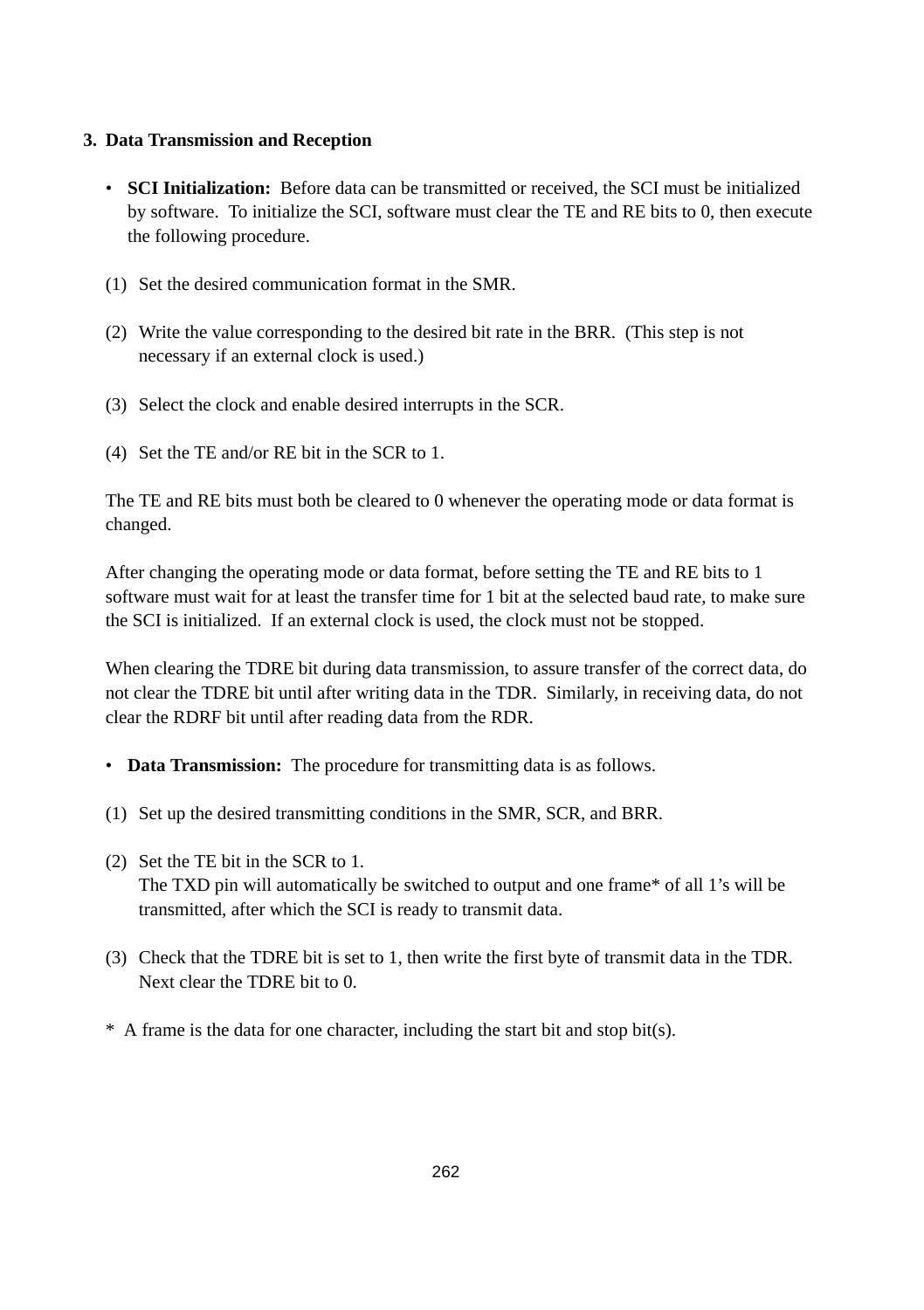#### **3. Data Transmission and Reception**

- **SCI Initialization:** Before data can be transmitted or received, the SCI must be initialized by software. To initialize the SCI, software must clear the TE and RE bits to 0, then execute the following procedure.
- (1) Set the desired communication format in the SMR.
- (2) Write the value corresponding to the desired bit rate in the BRR. (This step is not necessary if an external clock is used.)
- (3) Select the clock and enable desired interrupts in the SCR.
- (4) Set the TE and/or RE bit in the SCR to 1.

The TE and RE bits must both be cleared to 0 whenever the operating mode or data format is changed.

After changing the operating mode or data format, before setting the TE and RE bits to 1 software must wait for at least the transfer time for 1 bit at the selected baud rate, to make sure the SCI is initialized. If an external clock is used, the clock must not be stopped.

When clearing the TDRE bit during data transmission, to assure transfer of the correct data, do not clear the TDRE bit until after writing data in the TDR. Similarly, in receiving data, do not clear the RDRF bit until after reading data from the RDR.

- **Data Transmission:** The procedure for transmitting data is as follows.
- (1) Set up the desired transmitting conditions in the SMR, SCR, and BRR.
- (2) Set the TE bit in the SCR to 1. The TXD pin will automatically be switched to output and one frame\* of all 1's will be transmitted, after which the SCI is ready to transmit data.
- (3) Check that the TDRE bit is set to 1, then write the first byte of transmit data in the TDR. Next clear the TDRE bit to 0.
- \* A frame is the data for one character, including the start bit and stop bit(s).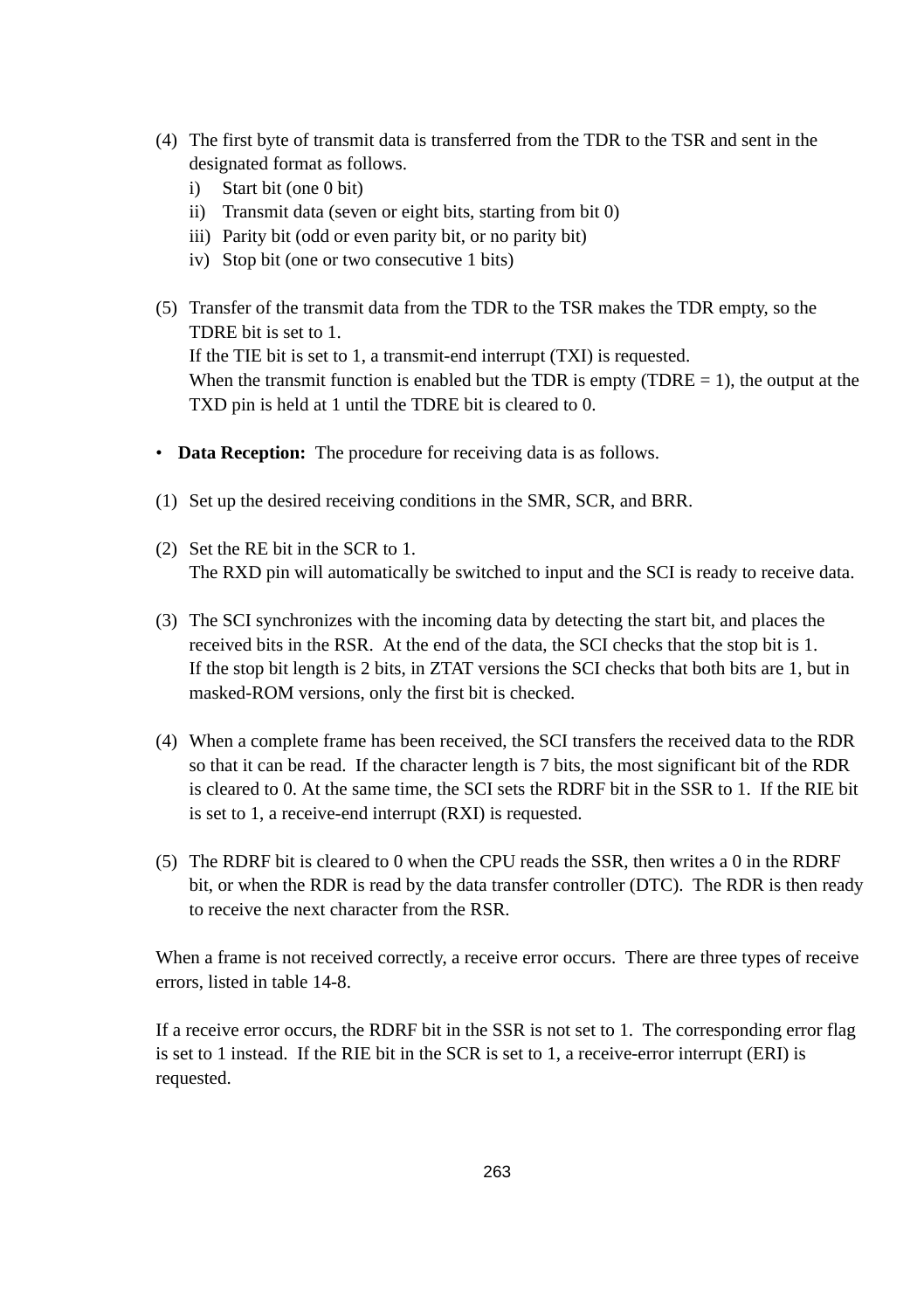- (4) The first byte of transmit data is transferred from the TDR to the TSR and sent in the designated format as follows.
	- i) Start bit (one 0 bit)
	- ii) Transmit data (seven or eight bits, starting from bit 0)
	- iii) Parity bit (odd or even parity bit, or no parity bit)
	- iv) Stop bit (one or two consecutive 1 bits)
- (5) Transfer of the transmit data from the TDR to the TSR makes the TDR empty, so the TDRE bit is set to 1. If the TIE bit is set to 1, a transmit-end interrupt (TXI) is requested. When the transmit function is enabled but the TDR is empty (TDRE  $= 1$ ), the output at the TXD pin is held at 1 until the TDRE bit is cleared to 0.
- **Data Reception:** The procedure for receiving data is as follows.
- (1) Set up the desired receiving conditions in the SMR, SCR, and BRR.
- (2) Set the RE bit in the SCR to 1. The RXD pin will automatically be switched to input and the SCI is ready to receive data.
- (3) The SCI synchronizes with the incoming data by detecting the start bit, and places the received bits in the RSR. At the end of the data, the SCI checks that the stop bit is 1. If the stop bit length is 2 bits, in ZTAT versions the SCI checks that both bits are 1, but in masked-ROM versions, only the first bit is checked.
- (4) When a complete frame has been received, the SCI transfers the received data to the RDR so that it can be read. If the character length is 7 bits, the most significant bit of the RDR is cleared to 0. At the same time, the SCI sets the RDRF bit in the SSR to 1. If the RIE bit is set to 1, a receive-end interrupt (RXI) is requested.
- (5) The RDRF bit is cleared to 0 when the CPU reads the SSR, then writes a 0 in the RDRF bit, or when the RDR is read by the data transfer controller (DTC). The RDR is then ready to receive the next character from the RSR.

When a frame is not received correctly, a receive error occurs. There are three types of receive errors, listed in table 14-8.

If a receive error occurs, the RDRF bit in the SSR is not set to 1. The corresponding error flag is set to 1 instead. If the RIE bit in the SCR is set to 1, a receive-error interrupt (ERI) is requested.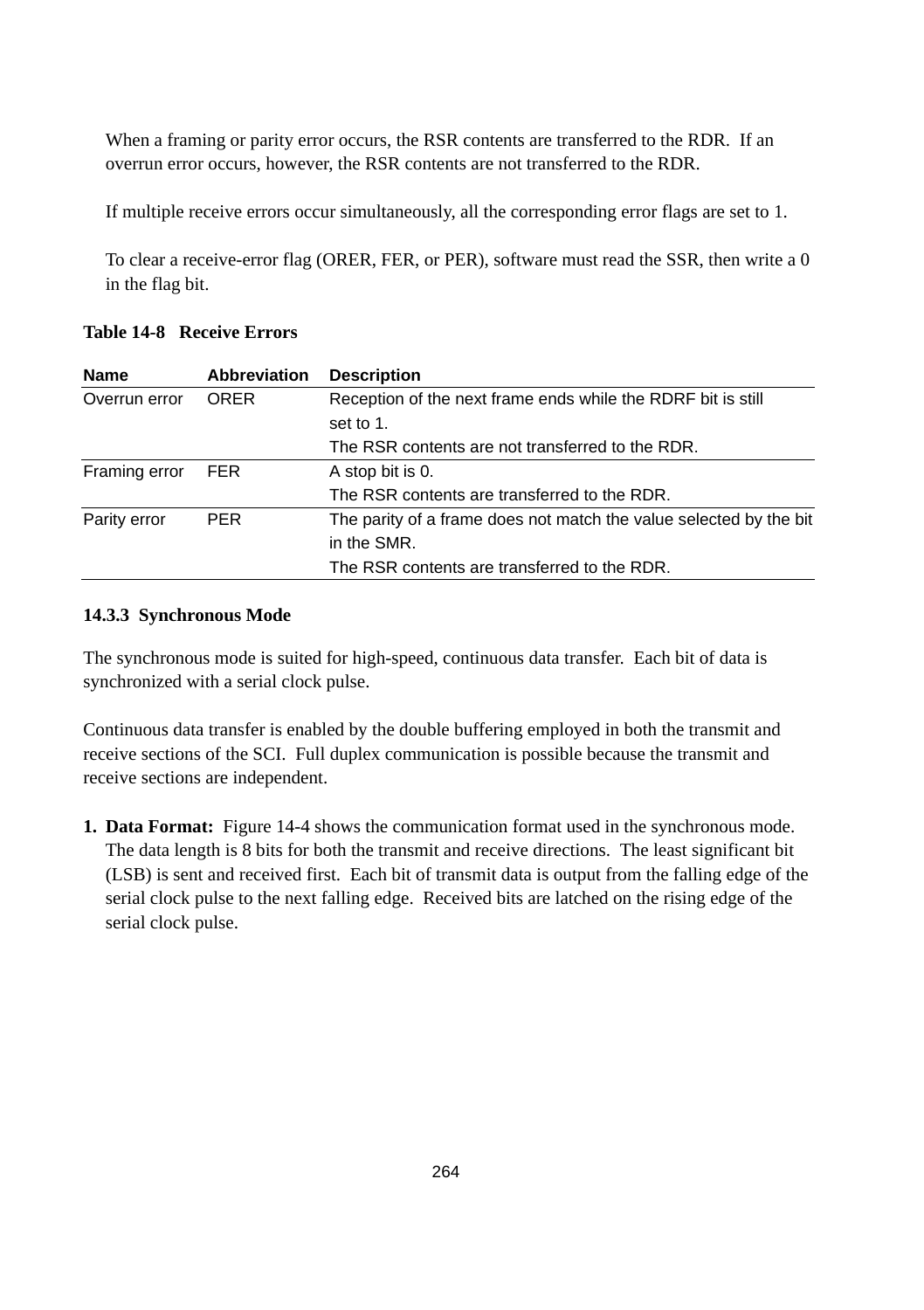When a framing or parity error occurs, the RSR contents are transferred to the RDR. If an overrun error occurs, however, the RSR contents are not transferred to the RDR.

If multiple receive errors occur simultaneously, all the corresponding error flags are set to 1.

To clear a receive-error flag (ORER, FER, or PER), software must read the SSR, then write a 0 in the flag bit.

| <b>Name</b>   | Abbreviation | <b>Description</b>                                                 |
|---------------|--------------|--------------------------------------------------------------------|
| Overrun error | <b>ORER</b>  | Reception of the next frame ends while the RDRF bit is still       |
|               |              | set to 1.                                                          |
|               |              | The RSR contents are not transferred to the RDR.                   |
| Framing error | <b>FER</b>   | A stop bit is 0.                                                   |
|               |              | The RSR contents are transferred to the RDR.                       |
| Parity error  | <b>PER</b>   | The parity of a frame does not match the value selected by the bit |
|               |              | in the SMR.                                                        |
|               |              | The RSR contents are transferred to the RDR.                       |

#### **Table 14-8 Receive Errors**

#### **14.3.3 Synchronous Mode**

The synchronous mode is suited for high-speed, continuous data transfer. Each bit of data is synchronized with a serial clock pulse.

Continuous data transfer is enabled by the double buffering employed in both the transmit and receive sections of the SCI. Full duplex communication is possible because the transmit and receive sections are independent.

**1. Data Format:** Figure 14-4 shows the communication format used in the synchronous mode. The data length is 8 bits for both the transmit and receive directions. The least significant bit (LSB) is sent and received first. Each bit of transmit data is output from the falling edge of the serial clock pulse to the next falling edge. Received bits are latched on the rising edge of the serial clock pulse.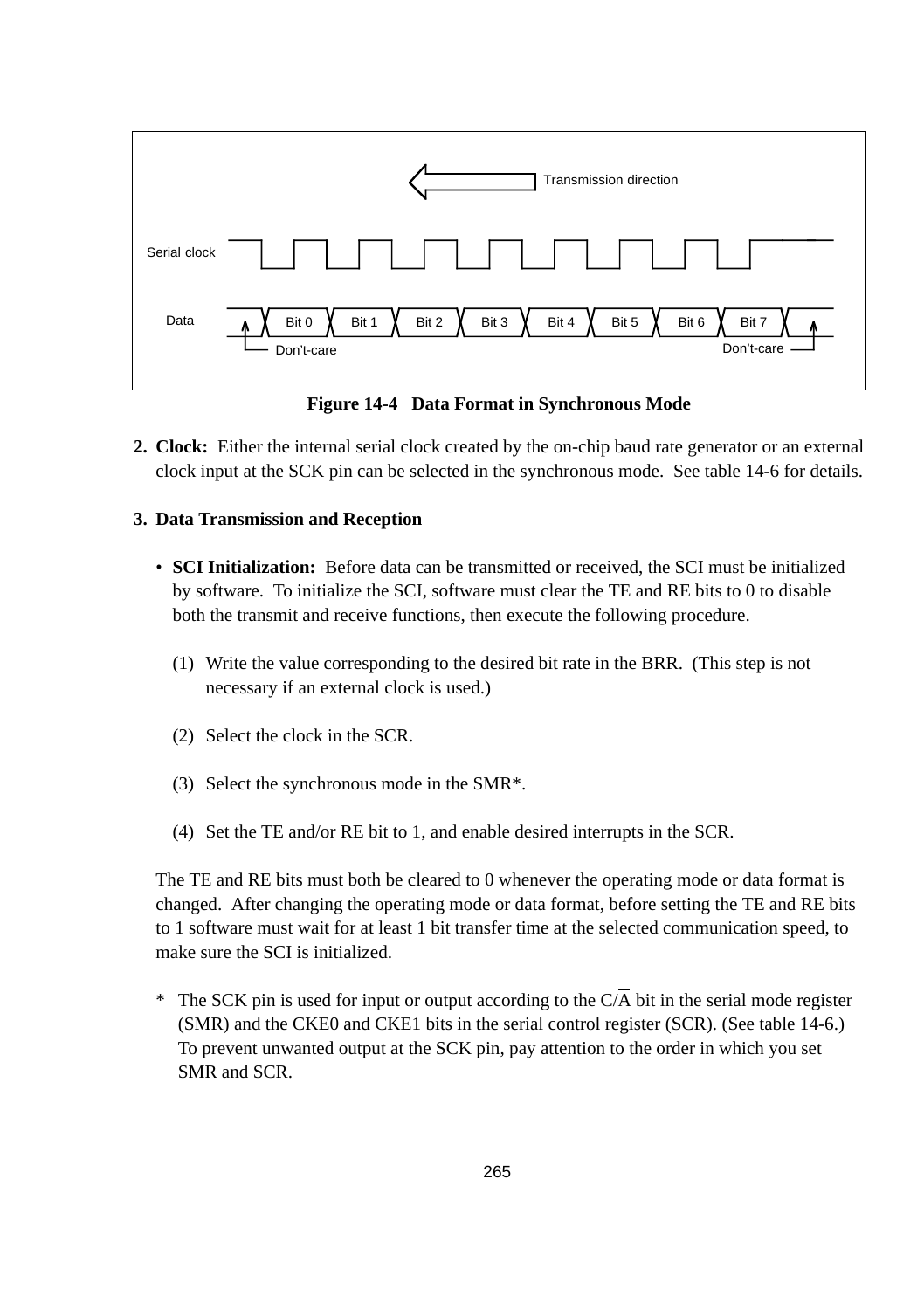

**Figure 14-4 Data Format in Synchronous Mode**

**2. Clock:** Either the internal serial clock created by the on-chip baud rate generator or an external clock input at the SCK pin can be selected in the synchronous mode. See table 14-6 for details.

#### **3. Data Transmission and Reception**

- **SCI Initialization:** Before data can be transmitted or received, the SCI must be initialized by software. To initialize the SCI, software must clear the TE and RE bits to 0 to disable both the transmit and receive functions, then execute the following procedure.
	- (1) Write the value corresponding to the desired bit rate in the BRR. (This step is not necessary if an external clock is used.)
	- (2) Select the clock in the SCR.
	- (3) Select the synchronous mode in the SMR\*.
	- (4) Set the TE and/or RE bit to 1, and enable desired interrupts in the SCR.

The TE and RE bits must both be cleared to 0 whenever the operating mode or data format is changed. After changing the operating mode or data format, before setting the TE and RE bits to 1 software must wait for at least 1 bit transfer time at the selected communication speed, to make sure the SCI is initialized.

<sup>\*</sup> The SCK pin is used for input or output according to the  $C/\overline{A}$  bit in the serial mode register (SMR) and the CKE0 and CKE1 bits in the serial control register (SCR). (See table 14-6.) To prevent unwanted output at the SCK pin, pay attention to the order in which you set SMR and SCR.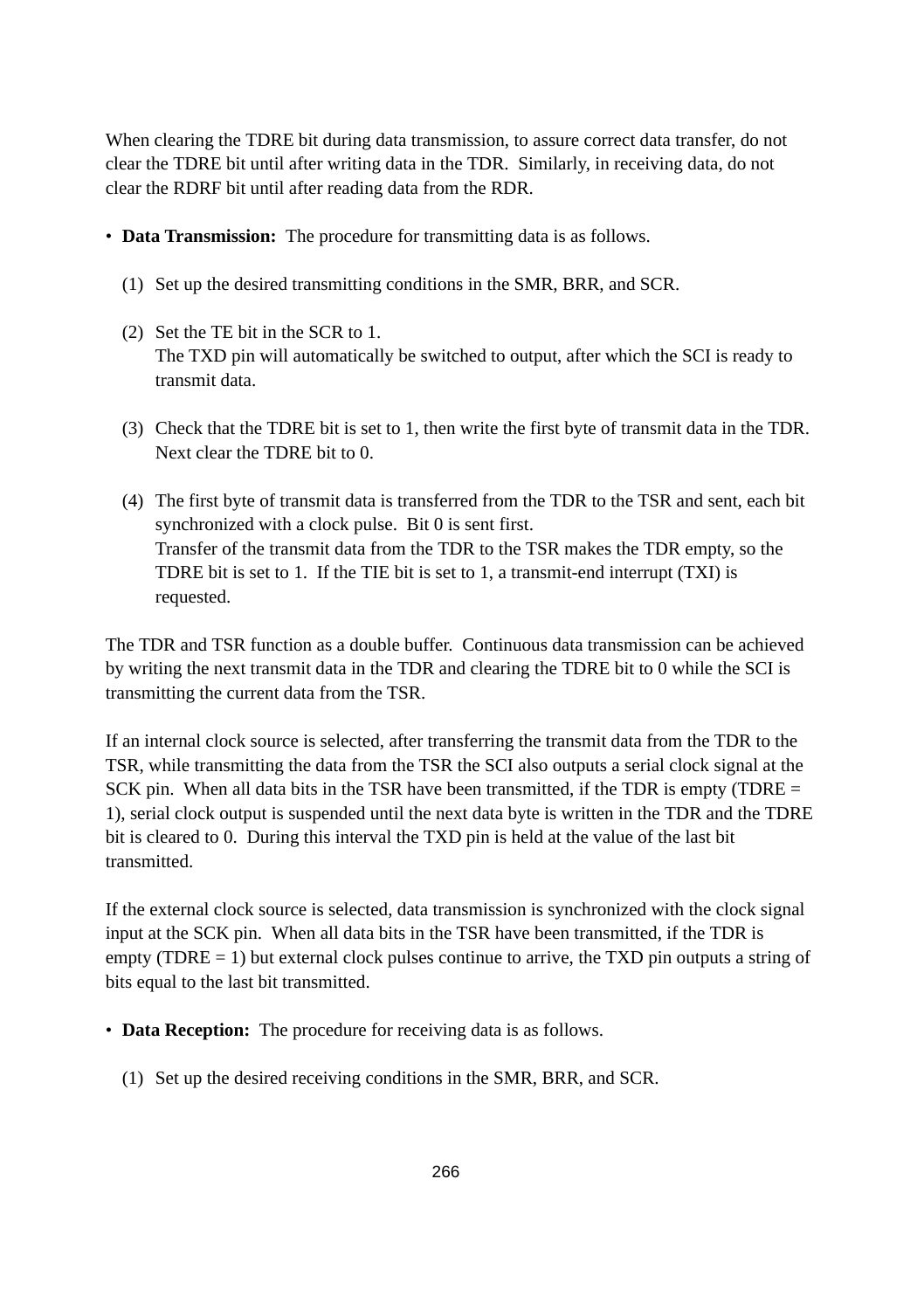When clearing the TDRE bit during data transmission, to assure correct data transfer, do not clear the TDRE bit until after writing data in the TDR. Similarly, in receiving data, do not clear the RDRF bit until after reading data from the RDR.

- **Data Transmission:** The procedure for transmitting data is as follows.
	- (1) Set up the desired transmitting conditions in the SMR, BRR, and SCR.
	- (2) Set the TE bit in the SCR to 1. The TXD pin will automatically be switched to output, after which the SCI is ready to transmit data.
	- (3) Check that the TDRE bit is set to 1, then write the first byte of transmit data in the TDR. Next clear the TDRE bit to 0.
	- (4) The first byte of transmit data is transferred from the TDR to the TSR and sent, each bit synchronized with a clock pulse. Bit 0 is sent first. Transfer of the transmit data from the TDR to the TSR makes the TDR empty, so the TDRE bit is set to 1. If the TIE bit is set to 1, a transmit-end interrupt (TXI) is requested.

The TDR and TSR function as a double buffer. Continuous data transmission can be achieved by writing the next transmit data in the TDR and clearing the TDRE bit to 0 while the SCI is transmitting the current data from the TSR.

If an internal clock source is selected, after transferring the transmit data from the TDR to the TSR, while transmitting the data from the TSR the SCI also outputs a serial clock signal at the SCK pin. When all data bits in the TSR have been transmitted, if the TDR is empty (TDRE  $=$ 1), serial clock output is suspended until the next data byte is written in the TDR and the TDRE bit is cleared to 0. During this interval the TXD pin is held at the value of the last bit transmitted.

If the external clock source is selected, data transmission is synchronized with the clock signal input at the SCK pin. When all data bits in the TSR have been transmitted, if the TDR is empty (TDRE  $= 1$ ) but external clock pulses continue to arrive, the TXD pin outputs a string of bits equal to the last bit transmitted.

- **Data Reception:** The procedure for receiving data is as follows.
	- (1) Set up the desired receiving conditions in the SMR, BRR, and SCR.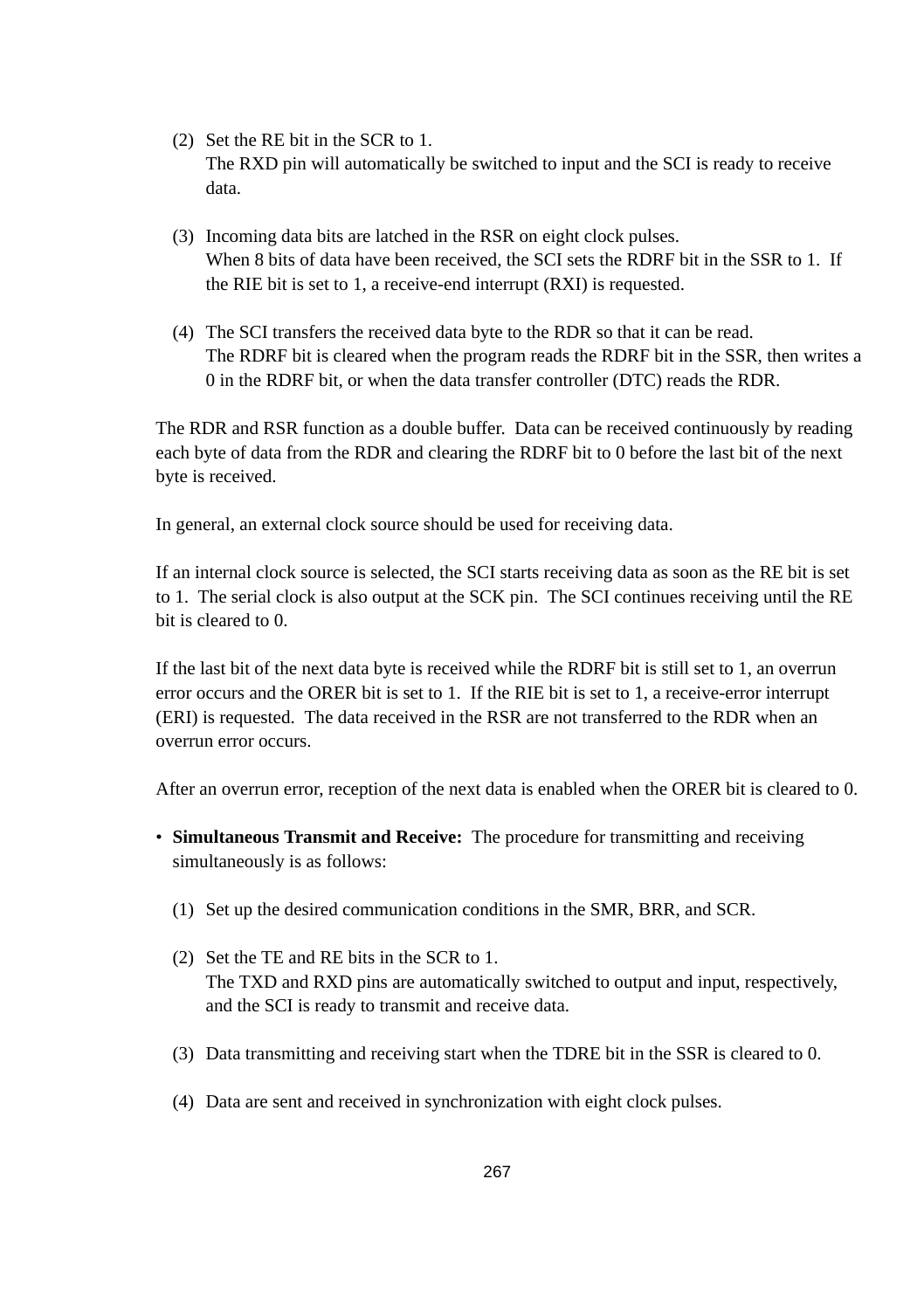- (2) Set the RE bit in the SCR to 1. The RXD pin will automatically be switched to input and the SCI is ready to receive data.
- (3) Incoming data bits are latched in the RSR on eight clock pulses. When 8 bits of data have been received, the SCI sets the RDRF bit in the SSR to 1. If the RIE bit is set to 1, a receive-end interrupt (RXI) is requested.
- (4) The SCI transfers the received data byte to the RDR so that it can be read. The RDRF bit is cleared when the program reads the RDRF bit in the SSR, then writes a 0 in the RDRF bit, or when the data transfer controller (DTC) reads the RDR.

The RDR and RSR function as a double buffer. Data can be received continuously by reading each byte of data from the RDR and clearing the RDRF bit to 0 before the last bit of the next byte is received.

In general, an external clock source should be used for receiving data.

If an internal clock source is selected, the SCI starts receiving data as soon as the RE bit is set to 1. The serial clock is also output at the SCK pin. The SCI continues receiving until the RE bit is cleared to 0.

If the last bit of the next data byte is received while the RDRF bit is still set to 1, an overrun error occurs and the ORER bit is set to 1. If the RIE bit is set to 1, a receive-error interrupt (ERI) is requested. The data received in the RSR are not transferred to the RDR when an overrun error occurs.

After an overrun error, reception of the next data is enabled when the ORER bit is cleared to 0.

- **Simultaneous Transmit and Receive:** The procedure for transmitting and receiving simultaneously is as follows:
	- (1) Set up the desired communication conditions in the SMR, BRR, and SCR.
	- (2) Set the TE and RE bits in the SCR to 1. The TXD and RXD pins are automatically switched to output and input, respectively, and the SCI is ready to transmit and receive data.
	- (3) Data transmitting and receiving start when the TDRE bit in the SSR is cleared to 0.
	- (4) Data are sent and received in synchronization with eight clock pulses.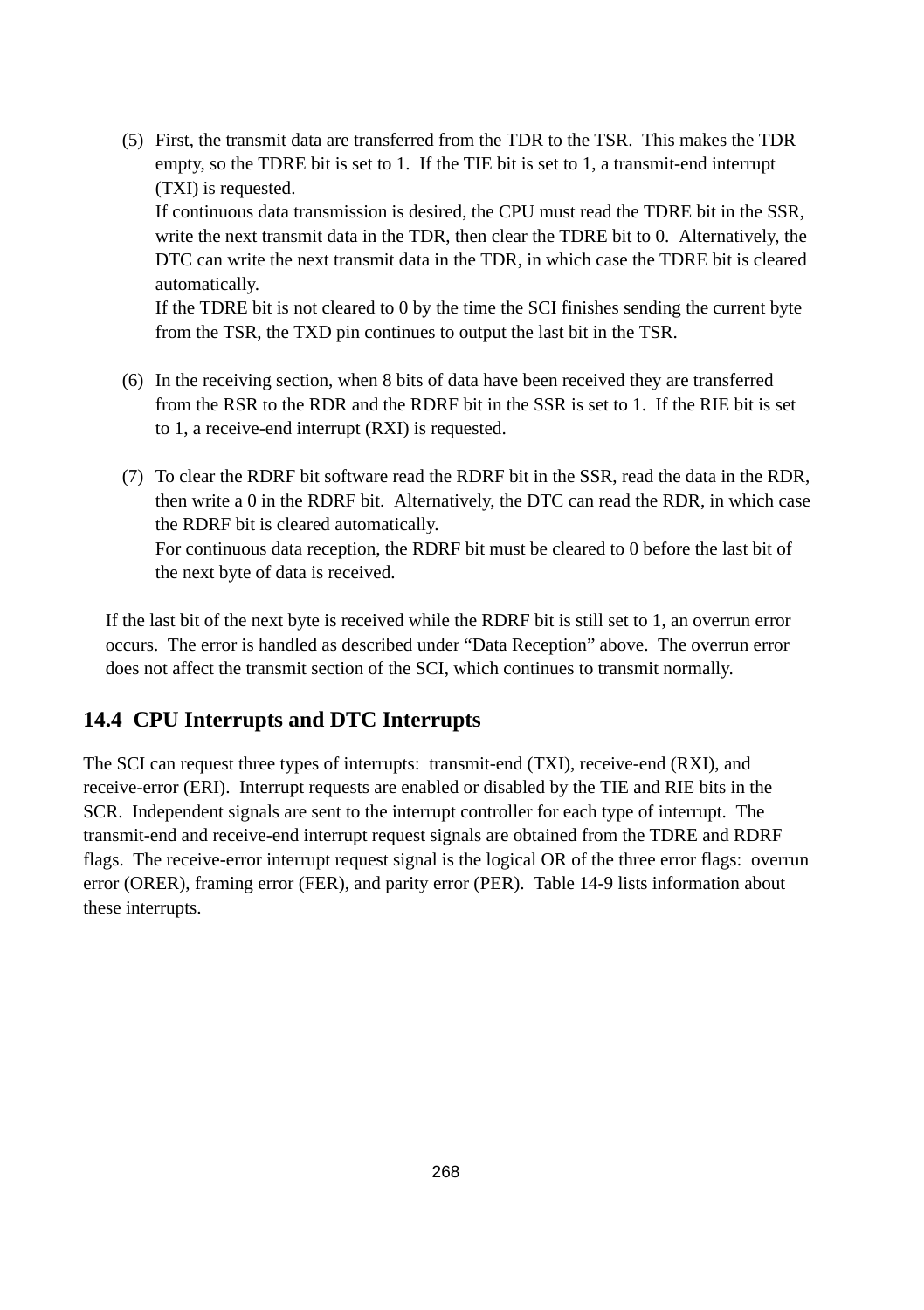(5) First, the transmit data are transferred from the TDR to the TSR. This makes the TDR empty, so the TDRE bit is set to 1. If the TIE bit is set to 1, a transmit-end interrupt (TXI) is requested.

If continuous data transmission is desired, the CPU must read the TDRE bit in the SSR, write the next transmit data in the TDR, then clear the TDRE bit to 0. Alternatively, the DTC can write the next transmit data in the TDR, in which case the TDRE bit is cleared automatically.

If the TDRE bit is not cleared to 0 by the time the SCI finishes sending the current byte from the TSR, the TXD pin continues to output the last bit in the TSR.

- (6) In the receiving section, when 8 bits of data have been received they are transferred from the RSR to the RDR and the RDRF bit in the SSR is set to 1. If the RIE bit is set to 1, a receive-end interrupt (RXI) is requested.
- (7) To clear the RDRF bit software read the RDRF bit in the SSR, read the data in the RDR, then write a 0 in the RDRF bit. Alternatively, the DTC can read the RDR, in which case the RDRF bit is cleared automatically. For continuous data reception, the RDRF bit must be cleared to 0 before the last bit of the next byte of data is received.

If the last bit of the next byte is received while the RDRF bit is still set to 1, an overrun error occurs. The error is handled as described under "Data Reception" above. The overrun error does not affect the transmit section of the SCI, which continues to transmit normally.

# **14.4 CPU Interrupts and DTC Interrupts**

The SCI can request three types of interrupts: transmit-end (TXI), receive-end (RXI), and receive-error (ERI). Interrupt requests are enabled or disabled by the TIE and RIE bits in the SCR. Independent signals are sent to the interrupt controller for each type of interrupt. The transmit-end and receive-end interrupt request signals are obtained from the TDRE and RDRF flags. The receive-error interrupt request signal is the logical OR of the three error flags: overrun error (ORER), framing error (FER), and parity error (PER). Table 14-9 lists information about these interrupts.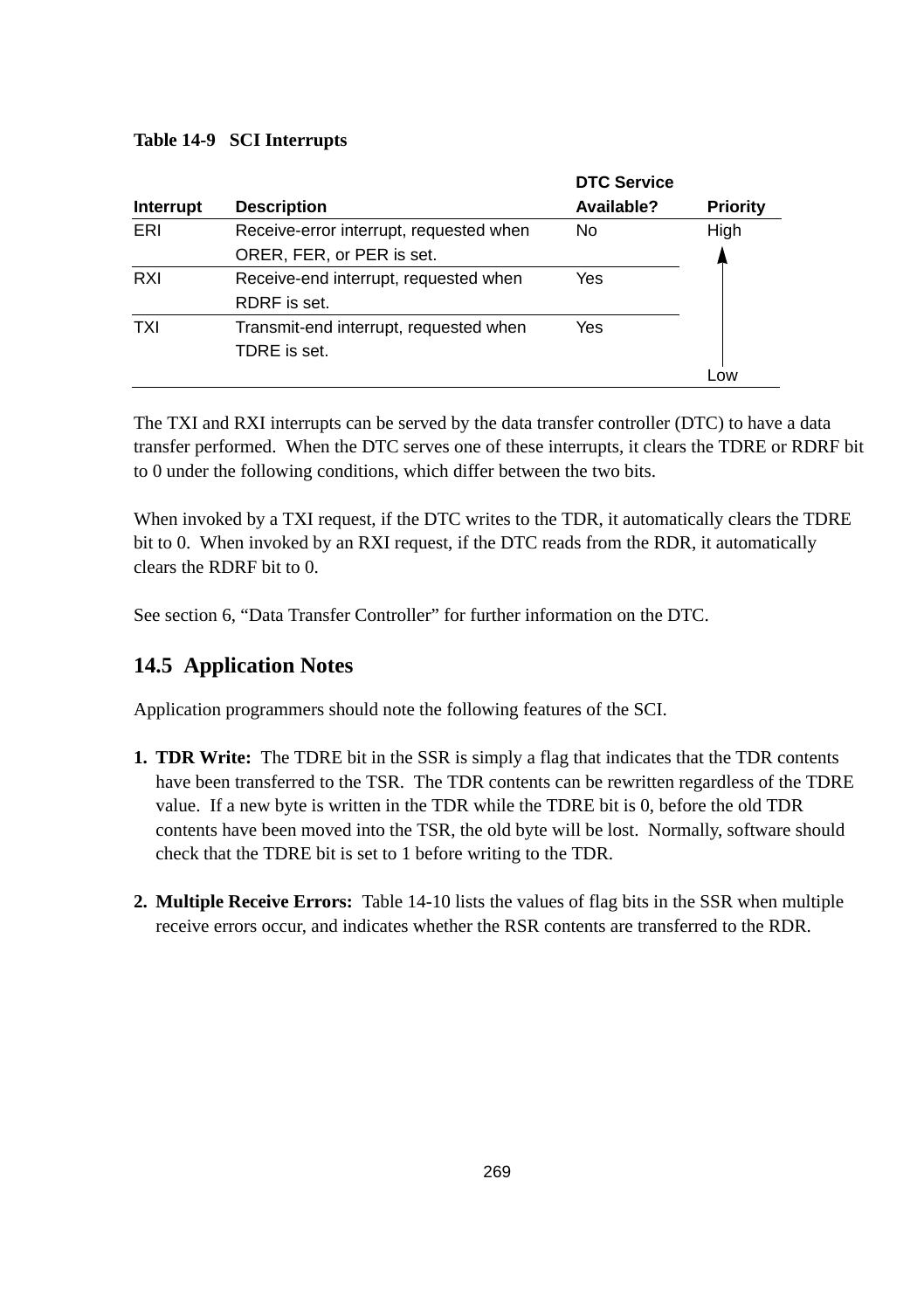#### **Table 14-9 SCI Interrupts**

|            |                                         | <b>DTC Service</b> |                |
|------------|-----------------------------------------|--------------------|----------------|
| Interrupt  | <b>Description</b>                      | Available?         | Priority       |
| ERI        | Receive-error interrupt, requested when | No                 | High           |
|            | ORER, FER, or PER is set.               |                    |                |
| RXI        | Receive-end interrupt, requested when   | Yes                |                |
|            | RDRF is set.                            |                    |                |
| <b>TXI</b> | Transmit-end interrupt, requested when  | Yes                |                |
|            | TDRE is set.                            |                    |                |
|            |                                         |                    | 0 <sub>W</sub> |

The TXI and RXI interrupts can be served by the data transfer controller (DTC) to have a data transfer performed. When the DTC serves one of these interrupts, it clears the TDRE or RDRF bit to 0 under the following conditions, which differ between the two bits.

When invoked by a TXI request, if the DTC writes to the TDR, it automatically clears the TDRE bit to 0. When invoked by an RXI request, if the DTC reads from the RDR, it automatically clears the RDRF bit to 0.

See section 6, "Data Transfer Controller" for further information on the DTC.

# **14.5 Application Notes**

Application programmers should note the following features of the SCI.

- **1. TDR Write:** The TDRE bit in the SSR is simply a flag that indicates that the TDR contents have been transferred to the TSR. The TDR contents can be rewritten regardless of the TDRE value. If a new byte is written in the TDR while the TDRE bit is 0, before the old TDR contents have been moved into the TSR, the old byte will be lost. Normally, software should check that the TDRE bit is set to 1 before writing to the TDR.
- **2. Multiple Receive Errors:** Table 14-10 lists the values of flag bits in the SSR when multiple receive errors occur, and indicates whether the RSR contents are transferred to the RDR.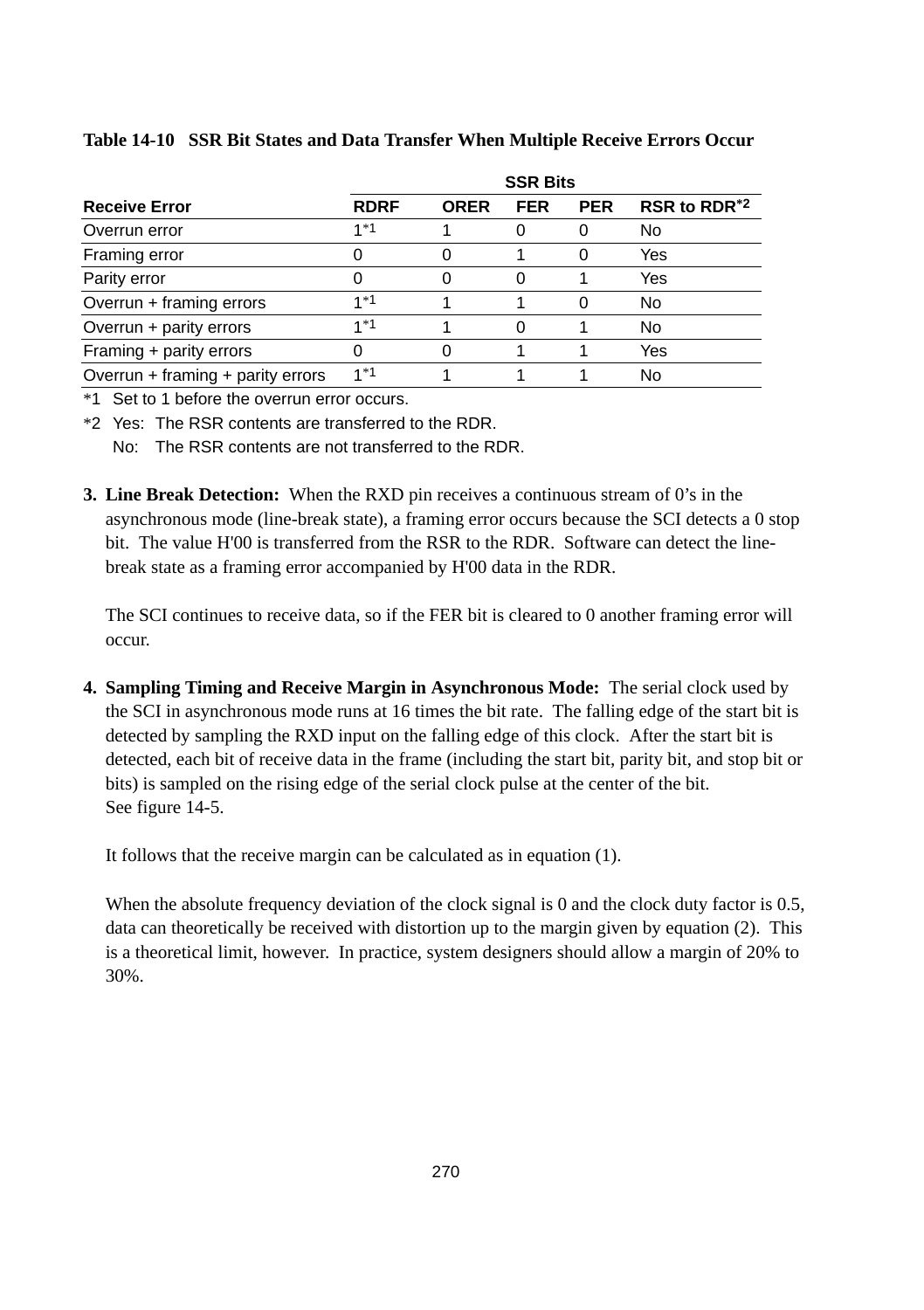|                                   | <b>SSR Bits</b> |             |            |            |                          |  |  |  |
|-----------------------------------|-----------------|-------------|------------|------------|--------------------------|--|--|--|
| <b>Receive Error</b>              | <b>RDRF</b>     | <b>ORER</b> | <b>FER</b> | <b>PER</b> | RSR to RDR <sup>*2</sup> |  |  |  |
| Overrun error                     | $1*1$           |             | 0          |            | No                       |  |  |  |
| Framing error                     | 0               |             |            | $\Omega$   | Yes                      |  |  |  |
| Parity error                      | 0               | 0           | 0          |            | Yes                      |  |  |  |
| Overrun + framing errors          | $1*1$           |             |            |            | No                       |  |  |  |
| Overrun + parity errors           | $1*1$           |             | 0          |            | No                       |  |  |  |
| Framing + parity errors           | 0               |             |            |            | Yes                      |  |  |  |
| Overrun + framing + parity errors | $1*1$           |             |            |            | No                       |  |  |  |

#### **Table 14-10 SSR Bit States and Data Transfer When Multiple Receive Errors Occur**

\*1 Set to 1 before the overrun error occurs.

\*2 Yes: The RSR contents are transferred to the RDR.

No: The RSR contents are not transferred to the RDR.

**3. Line Break Detection:** When the RXD pin receives a continuous stream of 0's in the asynchronous mode (line-break state), a framing error occurs because the SCI detects a 0 stop bit. The value H'00 is transferred from the RSR to the RDR. Software can detect the linebreak state as a framing error accompanied by H'00 data in the RDR.

The SCI continues to receive data, so if the FER bit is cleared to 0 another framing error will occur.

**4. Sampling Timing and Receive Margin in Asynchronous Mode:** The serial clock used by the SCI in asynchronous mode runs at 16 times the bit rate. The falling edge of the start bit is detected by sampling the RXD input on the falling edge of this clock. After the start bit is detected, each bit of receive data in the frame (including the start bit, parity bit, and stop bit or bits) is sampled on the rising edge of the serial clock pulse at the center of the bit. See figure 14-5.

It follows that the receive margin can be calculated as in equation (1).

When the absolute frequency deviation of the clock signal is 0 and the clock duty factor is 0.5, data can theoretically be received with distortion up to the margin given by equation (2). This is a theoretical limit, however. In practice, system designers should allow a margin of 20% to 30%.